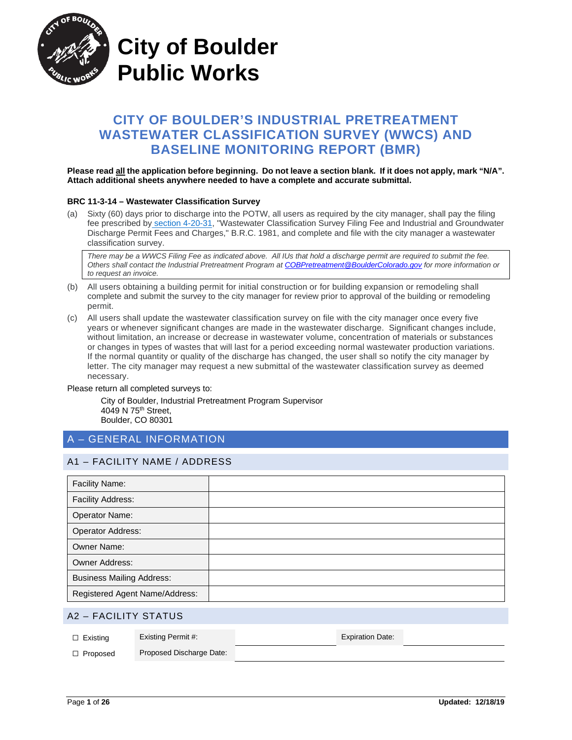

**City of Boulder Public Works**

# **CITY OF BOULDER'S INDUSTRIAL PRETREATMENT WASTEWATER CLASSIFICATION SURVEY (WWCS) AND BASELINE MONITORING REPORT (BMR)**

#### **Please read all the application before beginning. Do not leave a section blank. If it does not apply, mark "N/A". Attach additional sheets anywhere needed to have a complete and accurate submittal.**

#### **BRC 11-3-14 – Wastewater Classification Survey**

(a) Sixty (60) days prior to discharge into the POTW, all users as required by the city manager, shall pay the filing fee prescribed by [section 4-20-31,](https://library.municode.com/co/boulder/codes/municipal_code?nodeId=TIT4LIPE_CH20FE_4-20-31WACLSUFIFEINGRDIPEFECH) "Wastewater Classification Survey Filing Fee and Industrial and Groundwater Discharge Permit Fees and Charges," B.R.C. 1981, and complete and file with the city manager a wastewater classification survey.

*There may be a WWCS Filing Fee as indicated above. All IUs that hold a discharge permit are required to submit the fee. Others shall contact the Industrial Pretreatment Program at [COBPretreatment@BoulderColorado.gov](mailto:COBPretreatment@BoulderColorado.gov) for more information or to request an invoice.*

- (b) All users obtaining a building permit for initial construction or for building expansion or remodeling shall complete and submit the survey to the city manager for review prior to approval of the building or remodeling permit.
- (c) All users shall update the wastewater classification survey on file with the city manager once every five years or whenever significant changes are made in the wastewater discharge. Significant changes include, without limitation, an increase or decrease in wastewater volume, concentration of materials or substances or changes in types of wastes that will last for a period exceeding normal wastewater production variations. If the normal quantity or quality of the discharge has changed, the user shall so notify the city manager by letter. The city manager may request a new submittal of the wastewater classification survey as deemed necessary.

Please return all completed surveys to:

City of Boulder, Industrial Pretreatment Program Supervisor 4049 N 75th Street, Boulder, CO 80301

## A – GENERAL INFORMATION

### A1 – FACILITY NAME / ADDRESS

| Facility Name:                   |  |
|----------------------------------|--|
| <b>Facility Address:</b>         |  |
| Operator Name:                   |  |
| Operator Address:                |  |
| <b>Owner Name:</b>               |  |
| <b>Owner Address:</b>            |  |
| <b>Business Mailing Address:</b> |  |
| Registered Agent Name/Address:   |  |

#### A2 – FACILITY STATUS

| $\Box$ Existing | Existing Permit #:       | <b>Expiration Date:</b> |  |
|-----------------|--------------------------|-------------------------|--|
| $\Box$ Proposed | Proposed Discharge Date: |                         |  |
|                 |                          |                         |  |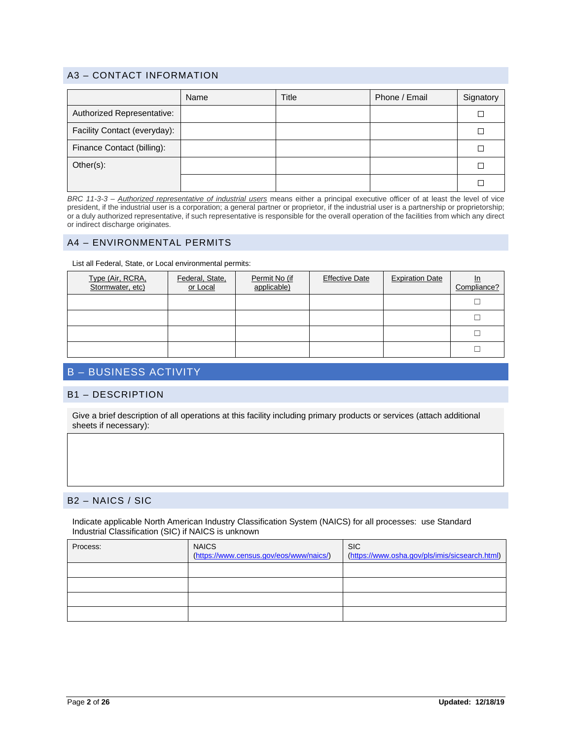### A3 – CONTACT INFORMATION

|                              | Name | Title | Phone / Email | Signatory |
|------------------------------|------|-------|---------------|-----------|
| Authorized Representative:   |      |       |               |           |
| Facility Contact (everyday): |      |       |               |           |
| Finance Contact (billing):   |      |       |               |           |
| Other(s):                    |      |       |               |           |
|                              |      |       |               |           |

*BRC 11-3-3 – Authorized representative of industrial users* means either a principal executive officer of at least the level of vice president, if the industrial user is a corporation; a general partner or proprietor, if the industrial user is a partnership or proprietorship; or a duly authorized representative, if such representative is responsible for the overall operation of the facilities from which any direct or indirect discharge originates.

#### A4 – ENVIRONMENTAL PERMITS

List all Federal, State, or Local environmental permits:

| Type (Air, RCRA,<br>Stormwater, etc) | Federal, State,<br>or Local | Permit No (if<br>applicable) | <b>Effective Date</b> | <b>Expiration Date</b> | <u>In</u><br>Compliance? |
|--------------------------------------|-----------------------------|------------------------------|-----------------------|------------------------|--------------------------|
|                                      |                             |                              |                       |                        |                          |
|                                      |                             |                              |                       |                        |                          |
|                                      |                             |                              |                       |                        |                          |
|                                      |                             |                              |                       |                        |                          |

# B – BUSINESS ACTIVITY

#### B1 – DESCRIPTION

Give a brief description of all operations at this facility including primary products or services (attach additional sheets if necessary):

### B2 – NAICS / SIC

Indicate applicable North American Industry Classification System (NAICS) for all processes: use Standard Industrial Classification (SIC) if NAICS is unknown

| Process: | <b>NAICS</b><br>(https://www.census.gov/eos/www/naics/) | <b>SIC</b><br>(https://www.osha.gov/pls/imis/sicsearch.html) |
|----------|---------------------------------------------------------|--------------------------------------------------------------|
|          |                                                         |                                                              |
|          |                                                         |                                                              |
|          |                                                         |                                                              |
|          |                                                         |                                                              |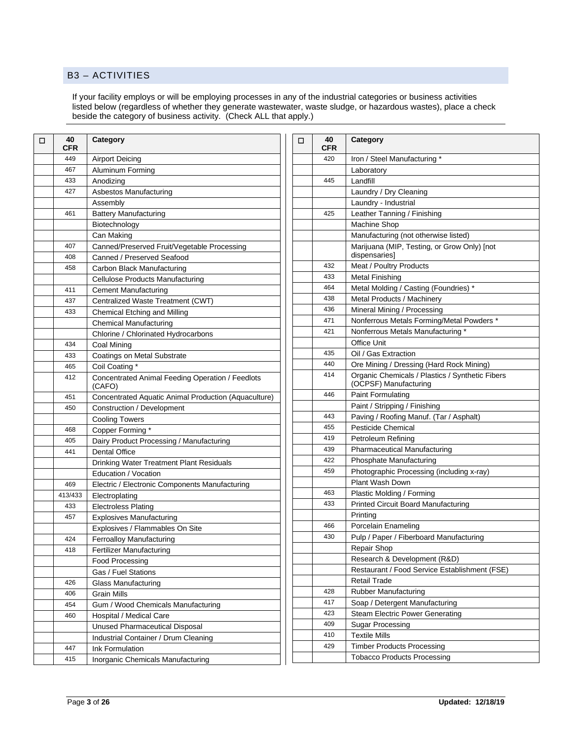#### B3 – ACTIVITIES

If your facility employs or will be employing processes in any of the industrial categories or business activities listed below (regardless of whether they generate wastewater, waste sludge, or hazardous wastes), place a check beside the category of business activity. (Check ALL that apply.)

| □   | 40<br>CFR                                                   | <b>Category</b>                                            |  |  |  |
|-----|-------------------------------------------------------------|------------------------------------------------------------|--|--|--|
|     | 449                                                         | Airport Deicing                                            |  |  |  |
|     | 467                                                         | Aluminum Forming                                           |  |  |  |
|     | 433                                                         | Anodizing                                                  |  |  |  |
|     | 427                                                         | Asbestos Manufacturing                                     |  |  |  |
|     |                                                             | Assembly                                                   |  |  |  |
|     | 461                                                         | <b>Battery Manufacturing</b>                               |  |  |  |
|     |                                                             | Biotechnology                                              |  |  |  |
|     |                                                             | Can Making                                                 |  |  |  |
|     | 407                                                         | Canned/Preserved Fruit/Vegetable Processing                |  |  |  |
|     | 408                                                         | Canned / Preserved Seafood                                 |  |  |  |
|     | 458                                                         | Carbon Black Manufacturing                                 |  |  |  |
|     |                                                             | Cellulose Products Manufacturing                           |  |  |  |
|     | 411                                                         | <b>Cement Manufacturing</b>                                |  |  |  |
|     | 437                                                         | Centralized Waste Treatment (CWT)                          |  |  |  |
|     | 433                                                         | Chemical Etching and Milling                               |  |  |  |
|     |                                                             | <b>Chemical Manufacturing</b>                              |  |  |  |
|     |                                                             | Chlorine / Chlorinated Hydrocarbons                        |  |  |  |
|     | 434                                                         | Coal Mining                                                |  |  |  |
|     | 433                                                         | Coatings on Metal Substrate                                |  |  |  |
|     | 465                                                         | Coil Coating *                                             |  |  |  |
|     | 412                                                         | Concentrated Animal Feeding Operation / Feedlots<br>(CAFO) |  |  |  |
|     | 451<br>Concentrated Aquatic Animal Production (Aquaculture) |                                                            |  |  |  |
|     | 450                                                         | Construction / Development                                 |  |  |  |
|     |                                                             | <b>Cooling Towers</b>                                      |  |  |  |
|     | 468                                                         | Copper Forming*                                            |  |  |  |
|     | 405                                                         | Dairy Product Processing / Manufacturing                   |  |  |  |
|     | 441                                                         | <b>Dental Office</b>                                       |  |  |  |
|     |                                                             | <b>Drinking Water Treatment Plant Residuals</b>            |  |  |  |
|     |                                                             | Education / Vocation                                       |  |  |  |
| 469 |                                                             | Electric / Electronic Components Manufacturing             |  |  |  |
|     | 413/433                                                     | Electroplating                                             |  |  |  |
|     | 433                                                         | <b>Electroless Plating</b>                                 |  |  |  |
|     | 457                                                         | <b>Explosives Manufacturing</b>                            |  |  |  |
|     |                                                             | Explosives / Flammables On Site                            |  |  |  |
|     | 424                                                         | <b>Ferroalloy Manufacturing</b>                            |  |  |  |
|     | 418                                                         | Fertilizer Manufacturing                                   |  |  |  |
|     |                                                             | Food Processing                                            |  |  |  |
|     |                                                             | Gas / Fuel Stations                                        |  |  |  |
|     | 426                                                         | <b>Glass Manufacturing</b>                                 |  |  |  |
|     | 406                                                         | Grain Mills                                                |  |  |  |
|     | 454                                                         | Gum / Wood Chemicals Manufacturing                         |  |  |  |
|     | 460                                                         | Hospital / Medical Care                                    |  |  |  |
|     |                                                             | <b>Unused Pharmaceutical Disposal</b>                      |  |  |  |
|     |                                                             | Industrial Container / Drum Cleaning                       |  |  |  |
|     | 447                                                         | Ink Formulation                                            |  |  |  |
|     | 415                                                         | Inorganic Chemicals Manufacturing                          |  |  |  |

| □ | 40<br><b>CFR</b> | <b>Category</b>                                                          |
|---|------------------|--------------------------------------------------------------------------|
|   | 420              | Iron / Steel Manufacturing *                                             |
|   |                  | Laboratory                                                               |
|   | 445              | Landfill                                                                 |
|   |                  | Laundry / Dry Cleaning                                                   |
|   |                  | Laundry - Industrial                                                     |
|   | 425              | Leather Tanning / Finishing                                              |
|   |                  | Machine Shop                                                             |
|   |                  | Manufacturing (not otherwise listed)                                     |
|   |                  | Marijuana (MIP, Testing, or Grow Only) [not<br>dispensaries]             |
|   | 432              | Meat / Poultry Products                                                  |
|   | 433              | <b>Metal Finishing</b>                                                   |
|   | 464              | Metal Molding / Casting (Foundries) *                                    |
|   | 438              | Metal Products / Machinery                                               |
|   | 436              | Mineral Mining / Processing                                              |
|   | 471              | Nonferrous Metals Forming/Metal Powders *                                |
|   | 421              | Nonferrous Metals Manufacturing *                                        |
|   |                  | Office Unit                                                              |
|   | 435              | Oil / Gas Extraction                                                     |
|   | 440              | Ore Mining / Dressing (Hard Rock Mining)                                 |
|   | 414              | Organic Chemicals / Plastics / Synthetic Fibers<br>(OCPSF) Manufacturing |
|   | 446              | Paint Formulating                                                        |
|   |                  | Paint / Stripping / Finishing                                            |
|   | 443              | Paving / Roofing Manuf. (Tar / Asphalt)                                  |
|   | 455              | <b>Pesticide Chemical</b>                                                |
|   | 419              | Petroleum Refining                                                       |
|   | 439              | <b>Pharmaceutical Manufacturing</b>                                      |
|   | 422              | Phosphate Manufacturing                                                  |
|   | 459              | Photographic Processing (including x-ray)                                |
|   |                  | <b>Plant Wash Down</b>                                                   |
|   | 463              | Plastic Molding / Forming                                                |
|   | 433              | <b>Printed Circuit Board Manufacturing</b>                               |
|   |                  | Printing                                                                 |
|   | 466              | Porcelain Enameling                                                      |
|   | 430              | Pulp / Paper / Fiberboard Manufacturing                                  |
|   |                  | Repair Shop                                                              |
|   |                  | Research & Development (R&D)                                             |
|   |                  | Restaurant / Food Service Establishment (FSE)                            |
|   |                  | <b>Retail Trade</b>                                                      |
|   | 428              | Rubber Manufacturing                                                     |
|   | 417              | Soap / Detergent Manufacturing                                           |
|   | 423              | <b>Steam Electric Power Generating</b>                                   |
|   | 409              | Sugar Processing                                                         |
|   | 410              | <b>Textile Mills</b>                                                     |
|   | 429              | <b>Timber Products Processing</b>                                        |
|   |                  | <b>Tobacco Products Processing</b>                                       |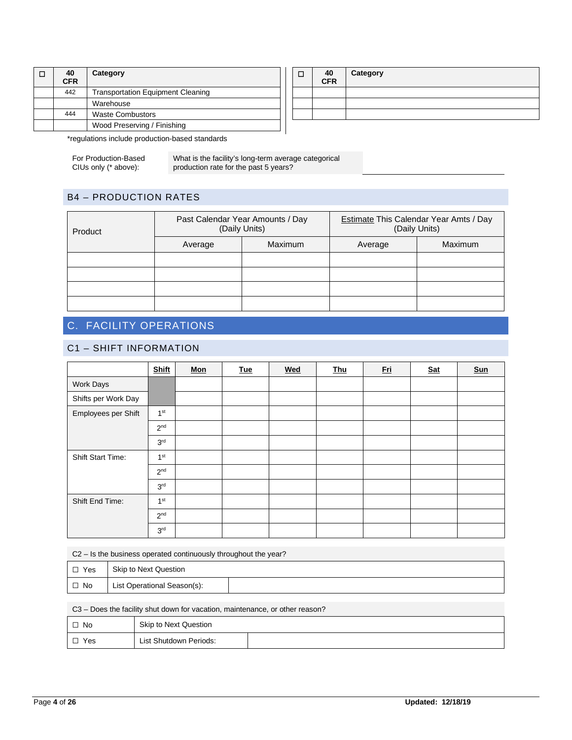| 40<br><b>CFR</b> | Category                                 |  |  |  |
|------------------|------------------------------------------|--|--|--|
| 442              | <b>Transportation Equipment Cleaning</b> |  |  |  |
|                  | Warehouse                                |  |  |  |
| 444              | <b>Waste Combustors</b>                  |  |  |  |
|                  | Wood Preserving / Finishing              |  |  |  |
|                  | .                                        |  |  |  |

| $\frac{40}{CFR}$ | Category |
|------------------|----------|
|                  |          |
|                  |          |
|                  |          |
|                  |          |

\*regulations include production-based standards

For Production-Based CIUs only (\* above):

What is the facility's long-term average categorical production rate for the past 5 years?

### B4 – PRODUCTION RATES

| Product |         | Past Calendar Year Amounts / Day<br>(Daily Units) | <b>Estimate This Calendar Year Amts / Day</b><br>(Daily Units) |         |
|---------|---------|---------------------------------------------------|----------------------------------------------------------------|---------|
|         | Average | <b>Maximum</b>                                    | Average                                                        | Maximum |
|         |         |                                                   |                                                                |         |
|         |         |                                                   |                                                                |         |
|         |         |                                                   |                                                                |         |
|         |         |                                                   |                                                                |         |

# C. FACILITY OPERATIONS

### C1 – SHIFT INFORMATION

|                          | <b>Shift</b>    | $\underline{\mathsf{Mon}}$ | <b>Tue</b> | Wed | <b>Thu</b> | <u>Eri</u> | <b>Sat</b> | <b>Sun</b> |
|--------------------------|-----------------|----------------------------|------------|-----|------------|------------|------------|------------|
| <b>Work Days</b>         |                 |                            |            |     |            |            |            |            |
| Shifts per Work Day      |                 |                            |            |     |            |            |            |            |
| Employees per Shift      | 1 <sup>st</sup> |                            |            |     |            |            |            |            |
|                          | 2 <sup>nd</sup> |                            |            |     |            |            |            |            |
|                          | 3 <sup>rd</sup> |                            |            |     |            |            |            |            |
| <b>Shift Start Time:</b> | 1 <sup>st</sup> |                            |            |     |            |            |            |            |
|                          | 2 <sup>nd</sup> |                            |            |     |            |            |            |            |
|                          | 3 <sup>rd</sup> |                            |            |     |            |            |            |            |
| Shift End Time:          | 1 <sup>st</sup> |                            |            |     |            |            |            |            |
|                          | 2 <sup>nd</sup> |                            |            |     |            |            |            |            |
|                          | 3 <sup>rd</sup> |                            |            |     |            |            |            |            |

C2 – Is the business operated continuously throughout the year?

| $\Box$ Yes | Skip to Next Question       |  |  |
|------------|-----------------------------|--|--|
| $\Box$ No  | List Operational Season(s): |  |  |

C3 – Does the facility shut down for vacation, maintenance, or other reason?

| $\Box$ No | Skip to Next Question  |  |
|-----------|------------------------|--|
| Yes       | List Shutdown Periods: |  |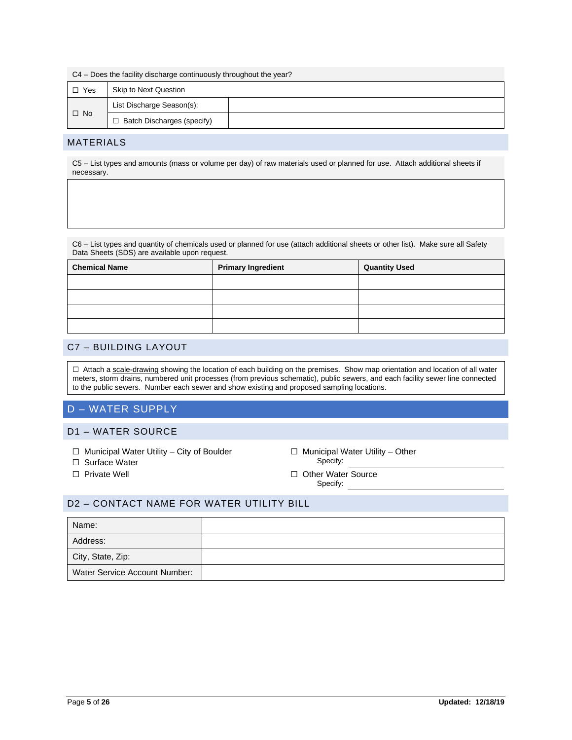|            | C4 – Does the facility discharge continuously throughout the year? |  |  |  |
|------------|--------------------------------------------------------------------|--|--|--|
| $\Box$ Yes | <b>Skip to Next Question</b>                                       |  |  |  |
|            | List Discharge Season(s):                                          |  |  |  |
| $\Box$ No  | $\Box$ Batch Discharges (specify)                                  |  |  |  |

#### MATERIALS

C5 – List types and amounts (mass or volume per day) of raw materials used or planned for use. Attach additional sheets if necessary.

C6 – List types and quantity of chemicals used or planned for use (attach additional sheets or other list). Make sure all Safety Data Sheets (SDS) are available upon request.

| <b>Chemical Name</b> | <b>Primary Ingredient</b> | <b>Quantity Used</b> |
|----------------------|---------------------------|----------------------|
|                      |                           |                      |
|                      |                           |                      |
|                      |                           |                      |
|                      |                           |                      |

#### C7 – BUILDING LAYOUT

□ Attach a scale-drawing showing the location of each building on the premises. Show map orientation and location of all water meters, storm drains, numbered unit processes (from previous schematic), public sewers, and each facility sewer line connected to the public sewers. Number each sewer and show existing and proposed sampling locations.

## D – WATER SUPPLY

#### D1 – WATER SOURCE

- 
- □ Surface Water
- 
- ☐ Municipal Water Utility City of Boulder ☐ Municipal Water Utility Other
- ☐ Private Well ☐ Other Water Source Specify:

### D2 – CONTACT NAME FOR WATER UTILITY BILL

| Name:                         |  |
|-------------------------------|--|
| Address:                      |  |
| City, State, Zip:             |  |
| Water Service Account Number: |  |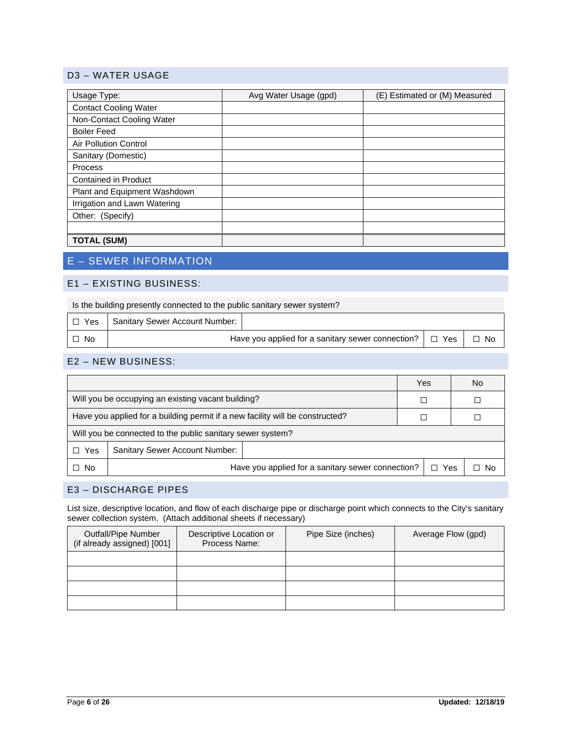### D3 – WATER USAGE

| Usage Type:                  | Avg Water Usage (gpd) | (E) Estimated or (M) Measured |
|------------------------------|-----------------------|-------------------------------|
| <b>Contact Cooling Water</b> |                       |                               |
| Non-Contact Cooling Water    |                       |                               |
| <b>Boiler Feed</b>           |                       |                               |
| <b>Air Pollution Control</b> |                       |                               |
| Sanitary (Domestic)          |                       |                               |
| Process                      |                       |                               |
| Contained in Product         |                       |                               |
| Plant and Equipment Washdown |                       |                               |
| Irrigation and Lawn Watering |                       |                               |
| Other: (Specify)             |                       |                               |
|                              |                       |                               |
| <b>TOTAL (SUM)</b>           |                       |                               |

# E – SEWER INFORMATION

### E1 – EXISTING BUSINESS:

| Is the building presently connected to the public sanitary sewer system? |
|--------------------------------------------------------------------------|
|--------------------------------------------------------------------------|

| l □ Yes | Sanitary Sewer Account Number:                               |  |  |      |
|---------|--------------------------------------------------------------|--|--|------|
| . No    | Have you applied for a sanitary sewer connection? $\Box$ Yes |  |  | - No |

#### E2 – NEW BUSINESS:

|                                                                               |                                                                 | Yes |  | No |      |
|-------------------------------------------------------------------------------|-----------------------------------------------------------------|-----|--|----|------|
|                                                                               | Will you be occupying an existing vacant building?              |     |  |    |      |
| Have you applied for a building permit if a new facility will be constructed? |                                                                 |     |  |    |      |
| Will you be connected to the public sanitary sewer system?                    |                                                                 |     |  |    |      |
| Yes                                                                           | <b>Sanitary Sewer Account Number:</b>                           |     |  |    |      |
| $\Box$ No                                                                     | Have you applied for a sanitary sewer connection?<br>$\Box$ Yes |     |  |    | ⊐ No |

### E3 – DISCHARGE PIPES

List size, descriptive location, and flow of each discharge pipe or discharge point which connects to the City's sanitary sewer collection system. (Attach additional sheets if necessary)

| Outfall/Pipe Number<br>(if already assigned) [001] | Descriptive Location or<br>Process Name: | Pipe Size (inches) | Average Flow (gpd) |
|----------------------------------------------------|------------------------------------------|--------------------|--------------------|
|                                                    |                                          |                    |                    |
|                                                    |                                          |                    |                    |
|                                                    |                                          |                    |                    |
|                                                    |                                          |                    |                    |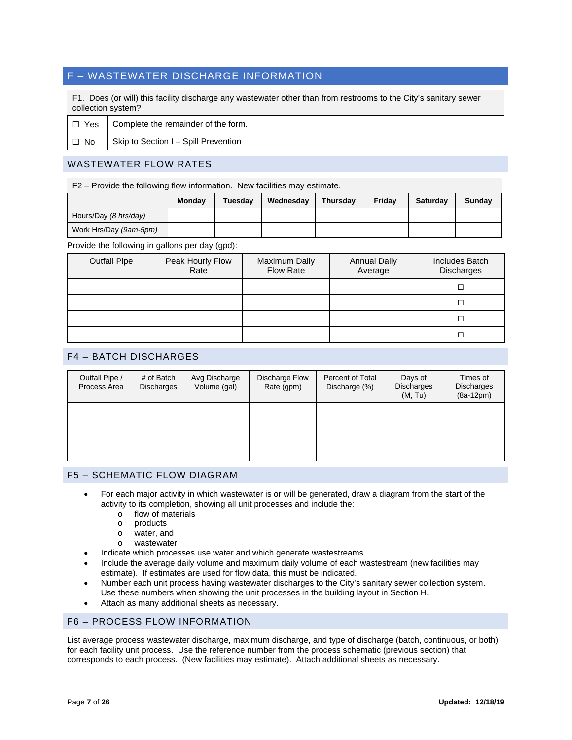## F – WASTEWATER DISCHARGE INFORMATION

F1. Does (or will) this facility discharge any wastewater other than from restrooms to the City's sanitary sewer collection system?

|      | $\Box$ Yes $\Box$ Complete the remainder of the form. |
|------|-------------------------------------------------------|
| □ No | Skip to Section I - Spill Prevention                  |

### WASTEWATER FLOW RATES

F2 – Provide the following flow information. New facilities may estimate.

|                        | Monday | <b>Tuesdav</b> | Wednesdav | <b>Thursday</b> | Fridav | <b>Saturdav</b> | Sundav |
|------------------------|--------|----------------|-----------|-----------------|--------|-----------------|--------|
| Hours/Day (8 hrs/day)  |        |                |           |                 |        |                 |        |
| Work Hrs/Day (9am-5pm) |        |                |           |                 |        |                 |        |

Provide the following in gallons per day (gpd):

| <b>Outfall Pipe</b> | Peak Hourly Flow<br>Rate | Maximum Daily<br><b>Flow Rate</b> | <b>Annual Daily</b><br>Average | Includes Batch<br>Discharges |
|---------------------|--------------------------|-----------------------------------|--------------------------------|------------------------------|
|                     |                          |                                   |                                |                              |
|                     |                          |                                   |                                |                              |
|                     |                          |                                   |                                |                              |
|                     |                          |                                   |                                |                              |

#### F4 – BATCH DISCHARGES

| Outfall Pipe /<br>Process Area | # of Batch<br><b>Discharges</b> | Avg Discharge<br>Volume (gal) | Discharge Flow<br>Rate (gpm) | Percent of Total<br>Discharge (%) | Days of<br><b>Discharges</b><br>(M, Tu) | Times of<br><b>Discharges</b><br>$(8a-12pm)$ |
|--------------------------------|---------------------------------|-------------------------------|------------------------------|-----------------------------------|-----------------------------------------|----------------------------------------------|
|                                |                                 |                               |                              |                                   |                                         |                                              |
|                                |                                 |                               |                              |                                   |                                         |                                              |
|                                |                                 |                               |                              |                                   |                                         |                                              |
|                                |                                 |                               |                              |                                   |                                         |                                              |

#### F5 – SCHEMATIC FLOW DIAGRAM

- For each major activity in which wastewater is or will be generated, draw a diagram from the start of the activity to its completion, showing all unit processes and include the:
	- $\circ$  flow of materials
	- o products<br>o water an
	- o water, and<br>o wastewate
	- wastewater
- Indicate which processes use water and which generate wastestreams.
- Include the average daily volume and maximum daily volume of each wastestream (new facilities may estimate). If estimates are used for flow data, this must be indicated.
- Number each unit process having wastewater discharges to the City's sanitary sewer collection system. Use these numbers when showing the unit processes in the building layout in Section H.
- Attach as many additional sheets as necessary.

#### F6 – PROCESS FLOW INFORMATION

List average process wastewater discharge, maximum discharge, and type of discharge (batch, continuous, or both) for each facility unit process. Use the reference number from the process schematic (previous section) that corresponds to each process. (New facilities may estimate). Attach additional sheets as necessary.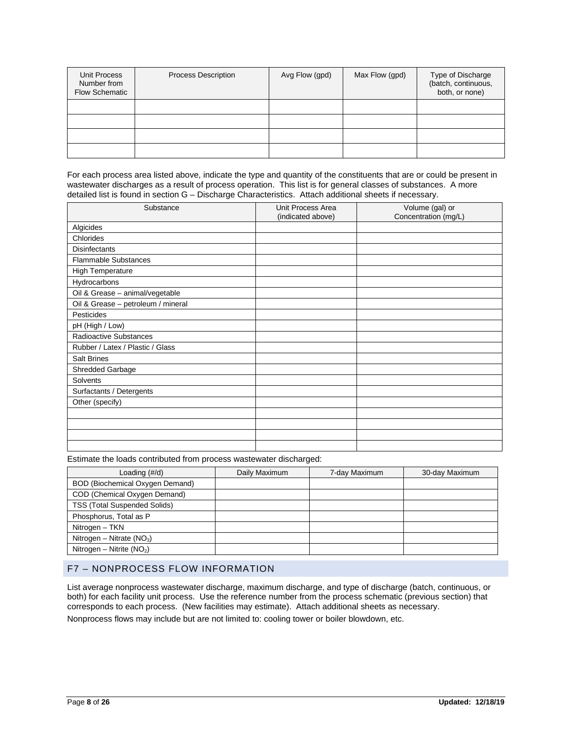| Unit Process<br>Number from<br><b>Flow Schematic</b> | <b>Process Description</b> | Avg Flow (gpd) | Max Flow (gpd) | Type of Discharge<br>(batch, continuous,<br>both, or none) |
|------------------------------------------------------|----------------------------|----------------|----------------|------------------------------------------------------------|
|                                                      |                            |                |                |                                                            |
|                                                      |                            |                |                |                                                            |
|                                                      |                            |                |                |                                                            |
|                                                      |                            |                |                |                                                            |

For each process area listed above, indicate the type and quantity of the constituents that are or could be present in wastewater discharges as a result of process operation. This list is for general classes of substances. A more detailed list is found in section G – Discharge Characteristics. Attach additional sheets if necessary.

| Substance                          | Unit Process Area<br>(indicated above) | Volume (gal) or<br>Concentration (mg/L) |
|------------------------------------|----------------------------------------|-----------------------------------------|
| Algicides                          |                                        |                                         |
| Chlorides                          |                                        |                                         |
| <b>Disinfectants</b>               |                                        |                                         |
| <b>Flammable Substances</b>        |                                        |                                         |
| High Temperature                   |                                        |                                         |
| Hydrocarbons                       |                                        |                                         |
| Oil & Grease - animal/vegetable    |                                        |                                         |
| Oil & Grease - petroleum / mineral |                                        |                                         |
| <b>Pesticides</b>                  |                                        |                                         |
| pH (High / Low)                    |                                        |                                         |
| <b>Radioactive Substances</b>      |                                        |                                         |
| Rubber / Latex / Plastic / Glass   |                                        |                                         |
| <b>Salt Brines</b>                 |                                        |                                         |
| Shredded Garbage                   |                                        |                                         |
| Solvents                           |                                        |                                         |
| Surfactants / Detergents           |                                        |                                         |
| Other (specify)                    |                                        |                                         |
|                                    |                                        |                                         |
|                                    |                                        |                                         |
|                                    |                                        |                                         |
|                                    |                                        |                                         |

Estimate the loads contributed from process wastewater discharged:

| Loading $(\#/d)$                    | Daily Maximum | 7-day Maximum | 30-day Maximum |
|-------------------------------------|---------------|---------------|----------------|
| BOD (Biochemical Oxygen Demand)     |               |               |                |
| COD (Chemical Oxygen Demand)        |               |               |                |
| <b>TSS (Total Suspended Solids)</b> |               |               |                |
| Phosphorus, Total as P              |               |               |                |
| Nitrogen - TKN                      |               |               |                |
| Nitrogen – Nitrate ( $NO3$ )        |               |               |                |
| Nitrogen – Nitrite $(NO2)$          |               |               |                |

### F7 – NONPROCESS FLOW INFORMATION

List average nonprocess wastewater discharge, maximum discharge, and type of discharge (batch, continuous, or both) for each facility unit process. Use the reference number from the process schematic (previous section) that corresponds to each process. (New facilities may estimate). Attach additional sheets as necessary.

Nonprocess flows may include but are not limited to: cooling tower or boiler blowdown, etc.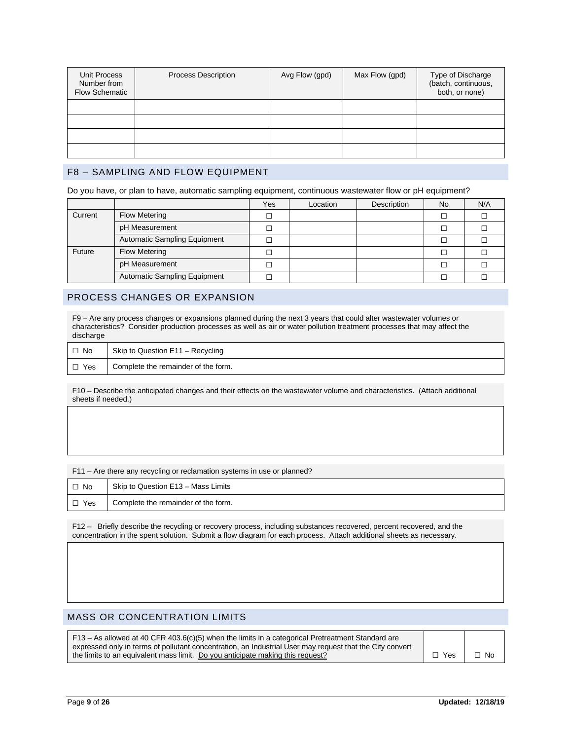| Unit Process<br>Number from<br><b>Flow Schematic</b> | <b>Process Description</b> | Avg Flow (gpd) | Max Flow (gpd) | Type of Discharge<br>(batch, continuous,<br>both, or none) |
|------------------------------------------------------|----------------------------|----------------|----------------|------------------------------------------------------------|
|                                                      |                            |                |                |                                                            |
|                                                      |                            |                |                |                                                            |
|                                                      |                            |                |                |                                                            |
|                                                      |                            |                |                |                                                            |

#### F8 – SAMPLING AND FLOW EQUIPMENT

Do you have, or plan to have, automatic sampling equipment, continuous wastewater flow or pH equipment?

|         |                              | Yes | Location | Description | No. | N/A |
|---------|------------------------------|-----|----------|-------------|-----|-----|
| Current | <b>Flow Metering</b>         |     |          |             |     |     |
|         | pH Measurement               |     |          |             |     |     |
|         | Automatic Sampling Equipment |     |          |             |     |     |
| Future  | <b>Flow Metering</b>         |     |          |             |     |     |
|         | pH Measurement               |     |          |             |     |     |
|         | Automatic Sampling Equipment |     |          |             |     |     |

#### PROCESS CHANGES OR EXPANSION

F9 – Are any process changes or expansions planned during the next 3 years that could alter wastewater volumes or characteristics? Consider production processes as well as air or water pollution treatment processes that may affect the discharge

| $\Box$ No | Skip to Question E11 - Recycling    |
|-----------|-------------------------------------|
| Yes       | Complete the remainder of the form. |

F10 – Describe the anticipated changes and their effects on the wastewater volume and characteristics. (Attach additional sheets if needed.)

F11 – Are there any recycling or reclamation systems in use or planned?

| $\Box$ No  | Skip to Question E13 - Mass Limits  |
|------------|-------------------------------------|
| $\Box$ Yes | Complete the remainder of the form. |

F12 – Briefly describe the recycling or recovery process, including substances recovered, percent recovered, and the concentration in the spent solution. Submit a flow diagram for each process. Attach additional sheets as necessary.

## MASS OR CONCENTRATION LIMITS

| F13 – As allowed at 40 CFR 403.6(c)(5) when the limits in a categorical Pretreatment Standard are        |            |           |
|----------------------------------------------------------------------------------------------------------|------------|-----------|
| expressed only in terms of pollutant concentration, an Industrial User may request that the City convert |            |           |
| the limits to an equivalent mass limit. Do you anticipate making this request?                           | $\Box$ Yes | $\Box$ No |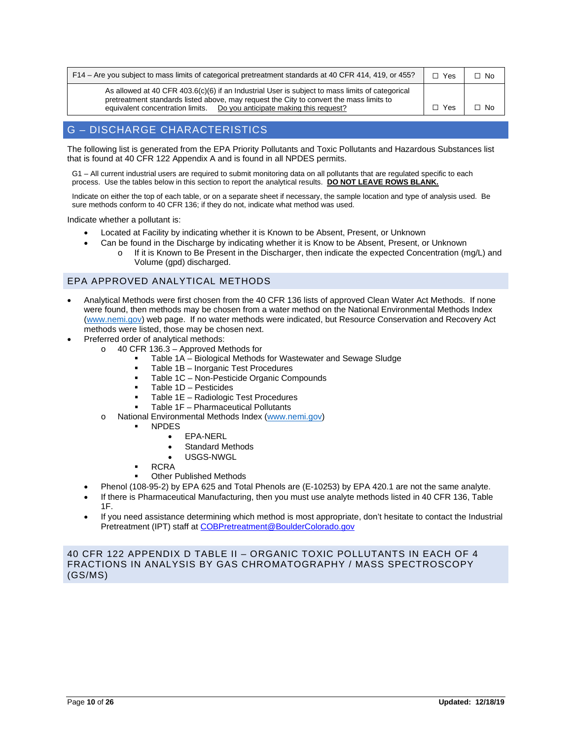| F14 – Are you subject to mass limits of categorical pretreatment standards at 40 CFR 414, 419, or 455?                                                                                                                                                                   | $\Box$ Yes | No   |
|--------------------------------------------------------------------------------------------------------------------------------------------------------------------------------------------------------------------------------------------------------------------------|------------|------|
| As allowed at 40 CFR 403.6(c)(6) if an Industrial User is subject to mass limits of categorical<br>pretreatment standards listed above, may request the City to convert the mass limits to<br>Do you anticipate making this request?<br>equivalent concentration limits. | Yes        | - No |

### G – DISCHARGE CHARACTERISTICS

The following list is generated from the EPA Priority Pollutants and Toxic Pollutants and Hazardous Substances list that is found at 40 CFR 122 Appendix A and is found in all NPDES permits.

G1 – All current industrial users are required to submit monitoring data on all pollutants that are regulated specific to each process. Use the tables below in this section to report the analytical results. **DO NOT LEAVE ROWS BLANK.**

Indicate on either the top of each table, or on a separate sheet if necessary, the sample location and type of analysis used. Be sure methods conform to 40 CFR 136; if they do not, indicate what method was used.

Indicate whether a pollutant is:

- Located at Facility by indicating whether it is Known to be Absent, Present, or Unknown
- Can be found in the Discharge by indicating whether it is Know to be Absent, Present, or Unknown
	- o If it is Known to Be Present in the Discharger, then indicate the expected Concentration (mg/L) and Volume (gpd) discharged.

#### EPA APPROVED ANALYTICAL METHODS

- Analytical Methods were first chosen from the 40 CFR 136 lists of approved Clean Water Act Methods. If none were found, then methods may be chosen from a water method on the National Environmental Methods Index [\(www.nemi.gov\)](http://www.nemi.gov/) web page. If no water methods were indicated, but Resource Conservation and Recovery Act methods were listed, those may be chosen next.
- Preferred order of analytical methods:
	- $\circ$  40 CFR 136.3 Approved Methods for
		- Table 1A Biological Methods for Wastewater and Sewage Sludge
		- Table 1B Inorganic Test Procedures
		- Table 1C Non-Pesticide Organic Compounds
		- Table 1D Pesticides
		- Table 1E Radiologic Test Procedures
		- Table 1F Pharmaceutical Pollutants
	- o National Environmental Methods Index [\(www.nemi.gov\)](http://www.nemi.gov/)
		- NPDES
			- EPA-NERL
			- Standard Methods
			- USGS-NWGL
			- RCRA
		- Other Published Methods
	- Phenol (108-95-2) by EPA 625 and Total Phenols are (E-10253) by EPA 420.1 are not the same analyte.
	- If there is Pharmaceutical Manufacturing, then you must use analyte methods listed in 40 CFR 136, Table 1F.
	- If you need assistance determining which method is most appropriate, don't hesitate to contact the Industrial Pretreatment (IPT) staff a[t COBPretreatment@BoulderColorado.gov](mailto:COBPretreatment@BoulderColorado.gov)

40 CFR 122 APPENDIX D TABLE II – ORGANIC TOXIC POLLUTANTS IN EACH OF 4 FRACTIONS IN ANALYSIS BY GAS CHROMATOGRAPHY / MASS SPECTROSCOPY (GS/MS)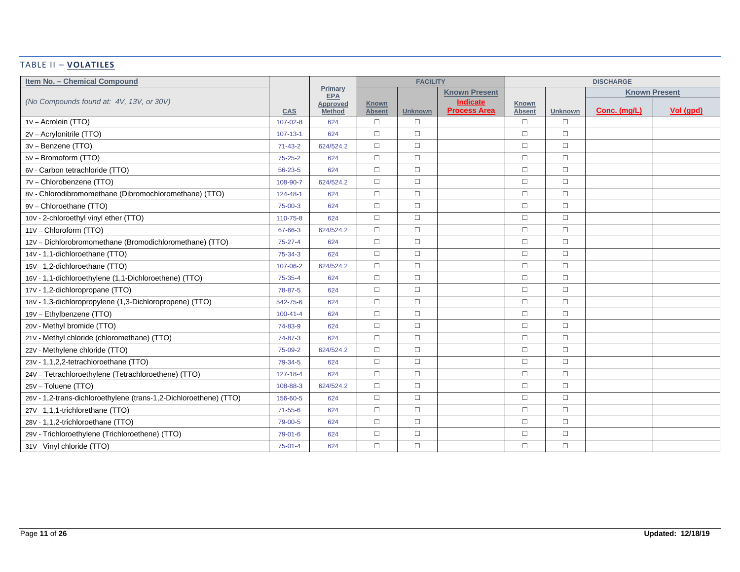#### TABLE II – **VOLATILES**

| Item No. - Chemical Compound                                      |                |                           |                               | <b>FACILITY</b> |                                        |                               |                | <b>DISCHARGE</b>     |           |
|-------------------------------------------------------------------|----------------|---------------------------|-------------------------------|-----------------|----------------------------------------|-------------------------------|----------------|----------------------|-----------|
|                                                                   |                | Primary<br><b>EPA</b>     |                               |                 | <b>Known Present</b>                   |                               |                | <b>Known Present</b> |           |
| (No Compounds found at: 4V, 13V, or 30V)                          | <b>CAS</b>     | Approved<br><b>Method</b> | <b>Known</b><br><b>Absent</b> | <b>Unknown</b>  | <b>Indicate</b><br><b>Process Area</b> | <b>Known</b><br><b>Absent</b> | <b>Unknown</b> | Conc. (mg/L)         | Vol (qpd) |
| 1V - Acrolein (TTO)                                               | $107 - 02 - 8$ | 624                       | $\Box$                        | $\Box$          |                                        | $\Box$                        | $\Box$         |                      |           |
| 2V - Acrylonitrile (TTO)                                          | $107 - 13 - 1$ | 624                       | $\Box$                        | $\Box$          |                                        | $\Box$                        | $\Box$         |                      |           |
| 3V - Benzene (TTO)                                                | $71 - 43 - 2$  | 624/524.2                 | $\Box$                        | $\Box$          |                                        | $\Box$                        | $\Box$         |                      |           |
| 5V - Bromoform (TTO)                                              | $75 - 25 - 2$  | 624                       | $\Box$                        | $\Box$          |                                        | $\Box$                        | $\Box$         |                      |           |
| 6V - Carbon tetrachloride (TTO)                                   | 56-23-5        | 624                       | $\Box$                        | $\Box$          |                                        | $\Box$                        | $\Box$         |                      |           |
| 7V - Chlorobenzene (TTO)                                          | 108-90-7       | 624/524.2                 | $\Box$                        | $\Box$          |                                        | $\Box$                        | $\Box$         |                      |           |
| 8V - Chlorodibromomethane (Dibromochloromethane) (TTO)            | 124-48-1       | 624                       | $\Box$                        | $\Box$          |                                        | $\Box$                        | $\Box$         |                      |           |
| 9V - Chloroethane (TTO)                                           | 75-00-3        | 624                       | $\Box$                        | $\Box$          |                                        | $\Box$                        | $\Box$         |                      |           |
| 10V - 2-chloroethyl vinyl ether (TTO)                             | 110-75-8       | 624                       | $\Box$                        | $\Box$          |                                        | $\Box$                        | $\Box$         |                      |           |
| 11V - Chloroform (TTO)                                            | 67-66-3        | 624/524.2                 | $\Box$                        | $\Box$          |                                        | $\Box$                        | $\Box$         |                      |           |
| 12V - Dichlorobromomethane (Bromodichloromethane) (TTO)           | $75 - 27 - 4$  | 624                       | $\Box$                        | $\Box$          |                                        | $\Box$                        | $\Box$         |                      |           |
| 14V - 1,1-dichloroethane (TTO)                                    | 75-34-3        | 624                       | $\Box$                        | $\Box$          |                                        | $\Box$                        | $\Box$         |                      |           |
| 15V - 1,2-dichloroethane (TTO)                                    | 107-06-2       | 624/524.2                 | $\Box$                        | $\Box$          |                                        | $\Box$                        | $\Box$         |                      |           |
| 16V - 1,1-dichloroethylene (1,1-Dichloroethene) (TTO)             | $75 - 35 - 4$  | 624                       | $\Box$                        | $\Box$          |                                        | $\Box$                        | $\Box$         |                      |           |
| 17V - 1,2-dichloropropane (TTO)                                   | 78-87-5        | 624                       | $\Box$                        | $\Box$          |                                        | $\Box$                        | $\Box$         |                      |           |
| 18V - 1,3-dichloropropylene (1,3-Dichloropropene) (TTO)           | 542-75-6       | 624                       | $\Box$                        | $\Box$          |                                        | $\Box$                        | $\Box$         |                      |           |
| 19V - Ethylbenzene (TTO)                                          | $100 - 41 - 4$ | 624                       | $\Box$                        | $\Box$          |                                        | $\Box$                        | $\Box$         |                      |           |
| 20V - Methyl bromide (TTO)                                        | 74-83-9        | 624                       | $\Box$                        | $\Box$          |                                        | $\Box$                        | $\Box$         |                      |           |
| 21V - Methyl chloride (chloromethane) (TTO)                       | 74-87-3        | 624                       | $\Box$                        | $\Box$          |                                        | $\Box$                        | $\Box$         |                      |           |
| 22V - Methylene chloride (TTO)                                    | 75-09-2        | 624/524.2                 | $\Box$                        | $\Box$          |                                        | $\Box$                        | $\Box$         |                      |           |
| 23V - 1,1,2,2-tetrachloroethane (TTO)                             | 79-34-5        | 624                       | $\Box$                        | $\Box$          |                                        | $\Box$                        | $\Box$         |                      |           |
| 24V - Tetrachloroethylene (Tetrachloroethene) (TTO)               | $127 - 18 - 4$ | 624                       | $\Box$                        | $\Box$          |                                        | $\Box$                        | $\Box$         |                      |           |
| 25V - Toluene (TTO)                                               | 108-88-3       | 624/524.2                 | $\Box$                        | $\Box$          |                                        | $\Box$                        | $\Box$         |                      |           |
| 26V - 1,2-trans-dichloroethylene (trans-1,2-Dichloroethene) (TTO) | 156-60-5       | 624                       | $\Box$                        | $\Box$          |                                        | $\Box$                        | $\Box$         |                      |           |
| 27V - 1,1,1-trichlorethane (TTO)                                  | 71-55-6        | 624                       | $\Box$                        | $\Box$          |                                        | $\Box$                        | $\Box$         |                      |           |
| 28V - 1,1,2-trichloroethane (TTO)                                 | 79-00-5        | 624                       | $\Box$                        | $\Box$          |                                        | $\Box$                        | $\Box$         |                      |           |
| 29V - Trichloroethylene (Trichloroethene) (TTO)                   | 79-01-6        | 624                       | $\Box$                        | $\Box$          |                                        | $\Box$                        | $\Box$         |                      |           |
| 31V - Vinyl chloride (TTO)                                        | $75-01-4$      | 624                       | $\Box$                        | $\Box$          |                                        | $\Box$                        | $\Box$         |                      |           |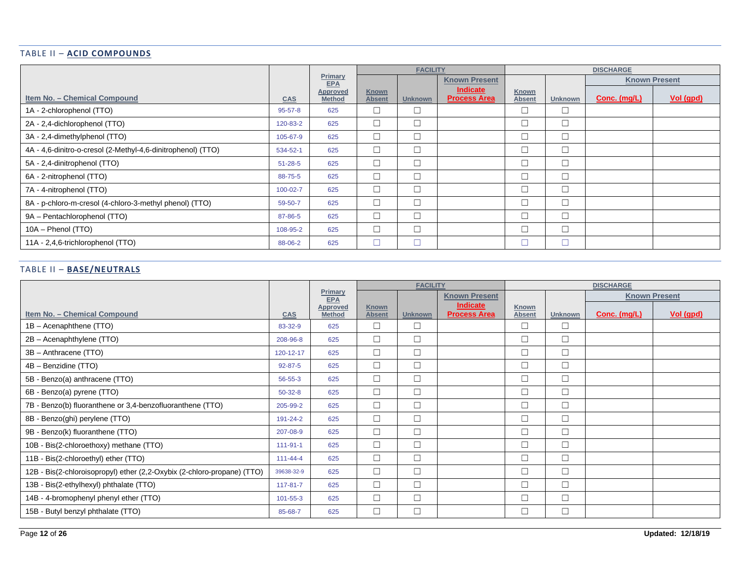### TABLE II – **ACID COMPOUNDS**

|                                                              |               |                           | <b>FACILITY</b>               |                |                                 | <b>DISCHARGE</b>       |                |              |                      |
|--------------------------------------------------------------|---------------|---------------------------|-------------------------------|----------------|---------------------------------|------------------------|----------------|--------------|----------------------|
|                                                              |               | Primary<br><b>EPA</b>     |                               |                | <b>Known Present</b>            |                        |                |              | <b>Known Present</b> |
| Item No. - Chemical Compound                                 | <b>CAS</b>    | Approved<br><b>Method</b> | <b>Known</b><br><b>Absent</b> | <b>Unknown</b> | Indicate<br><b>Process Area</b> | Known<br><b>Absent</b> | <b>Unknown</b> | Conc. (mg/L) | Vol (gpd)            |
| 1A - 2-chlorophenol (TTO)                                    | $95 - 57 - 8$ | 625                       | □                             | $\Box$         |                                 | $\Box$                 | $\Box$         |              |                      |
| 2A - 2,4-dichlorophenol (TTO)                                | 120-83-2      | 625                       | $\Box$                        | $\Box$         |                                 | $\Box$                 | $\Box$         |              |                      |
| 3A - 2,4-dimethylphenol (TTO)                                | 105-67-9      | 625                       | $\Box$                        | $\Box$         |                                 | $\Box$                 | $\Box$         |              |                      |
| 4A - 4,6-dinitro-o-cresol (2-Methyl-4,6-dinitrophenol) (TTO) | 534-52-1      | 625                       | $\Box$                        | $\Box$         |                                 | $\Box$                 | $\Box$         |              |                      |
| 5A - 2,4-dinitrophenol (TTO)                                 | $51 - 28 - 5$ | 625                       | $\Box$                        | $\Box$         |                                 | $\Box$                 | $\Box$         |              |                      |
| 6A - 2-nitrophenol (TTO)                                     | 88-75-5       | 625                       | $\Box$                        | $\Box$         |                                 | $\Box$                 | $\Box$         |              |                      |
| 7A - 4-nitrophenol (TTO)                                     | 100-02-7      | 625                       | $\Box$                        | $\Box$         |                                 | $\Box$                 | $\Box$         |              |                      |
| 8A - p-chloro-m-cresol (4-chloro-3-methyl phenol) (TTO)      | 59-50-7       | 625                       | $\Box$                        | $\Box$         |                                 | $\Box$                 | $\Box$         |              |                      |
| 9A - Pentachlorophenol (TTO)                                 | 87-86-5       | 625                       | $\Box$                        | $\Box$         |                                 | $\Box$                 | $\Box$         |              |                      |
| 10A - Phenol (TTO)                                           | 108-95-2      | 625                       | $\Box$                        | $\Box$         |                                 | $\Box$                 | $\Box$         |              |                      |
| 11A - 2,4,6-trichlorophenol (TTO)                            | 88-06-2       | 625                       | □                             | $\Box$         |                                 | $\Box$                 | $\Box$         |              |                      |

### TABLE II – **BASE/NEUTRALS**

|                                                                         |                |                           | <b>FACILITY</b>               |                |                                        |                               |                | <b>DISCHARGE</b> |                      |
|-------------------------------------------------------------------------|----------------|---------------------------|-------------------------------|----------------|----------------------------------------|-------------------------------|----------------|------------------|----------------------|
|                                                                         |                | Primary<br><b>EPA</b>     |                               |                | <b>Known Present</b>                   |                               |                |                  | <b>Known Present</b> |
| Item No. - Chemical Compound                                            | <b>CAS</b>     | Approved<br><b>Method</b> | <b>Known</b><br><b>Absent</b> | <b>Unknown</b> | <b>Indicate</b><br><b>Process Area</b> | <b>Known</b><br><b>Absent</b> | <b>Unknown</b> | Conc. (mg/L)     | Vol (gpd)            |
| 1B - Acenaphthene (TTO)                                                 | 83-32-9        | 625                       | $\Box$                        | $\Box$         |                                        | $\Box$                        | $\Box$         |                  |                      |
| 2B - Acenaphthylene (TTO)                                               | 208-96-8       | 625                       | $\Box$                        | $\Box$         |                                        | $\Box$                        | $\Box$         |                  |                      |
| 3B - Anthracene (TTO)                                                   | 120-12-17      | 625                       | $\Box$                        | $\Box$         |                                        | $\Box$                        | $\Box$         |                  |                      |
| 4B - Benzidine (TTO)                                                    | $92 - 87 - 5$  | 625                       | $\Box$                        | $\Box$         |                                        | $\Box$                        | $\Box$         |                  |                      |
| 5B - Benzo(a) anthracene (TTO)                                          | 56-55-3        | 625                       | $\Box$                        | $\Box$         |                                        | $\Box$                        | $\Box$         |                  |                      |
| 6B - Benzo(a) pyrene (TTO)                                              | $50-32-8$      | 625                       | $\Box$                        | $\Box$         |                                        | $\Box$                        | $\Box$         |                  |                      |
| 7B - Benzo(b) fluoranthene or 3,4-benzofluoranthene (TTO)               | 205-99-2       | 625                       | $\Box$                        | $\Box$         |                                        | $\Box$                        | $\Box$         |                  |                      |
| 8B - Benzo(ghi) perylene (TTO)                                          | 191-24-2       | 625                       | $\Box$                        | $\Box$         |                                        | $\Box$                        | $\Box$         |                  |                      |
| 9B - Benzo(k) fluoranthene (TTO)                                        | 207-08-9       | 625                       | $\Box$                        | $\Box$         |                                        | $\Box$                        | $\Box$         |                  |                      |
| 10B - Bis(2-chloroethoxy) methane (TTO)                                 | $111 - 91 - 1$ | 625                       | $\Box$                        | $\Box$         |                                        | $\Box$                        | $\Box$         |                  |                      |
| 11B - Bis(2-chloroethyl) ether (TTO)                                    | $111 - 44 - 4$ | 625                       | $\Box$                        | $\Box$         |                                        | $\Box$                        | $\Box$         |                  |                      |
| 12B - Bis(2-chloroisopropyl) ether (2,2-Oxybix (2-chloro-propane) (TTO) | 39638-32-9     | 625                       | $\Box$                        | $\Box$         |                                        | $\Box$                        | $\Box$         |                  |                      |
| 13B - Bis(2-ethylhexyl) phthalate (TTO)                                 | $117 - 81 - 7$ | 625                       | $\Box$                        | $\Box$         |                                        | $\Box$                        | $\Box$         |                  |                      |
| 14B - 4-bromophenyl phenyl ether (TTO)                                  | $101 - 55 - 3$ | 625                       | $\Box$                        | $\Box$         |                                        | $\Box$                        | $\Box$         |                  |                      |
| 15B - Butyl benzyl phthalate (TTO)                                      | 85-68-7        | 625                       | $\Box$                        | $\Box$         |                                        | $\Box$                        | $\Box$         |                  |                      |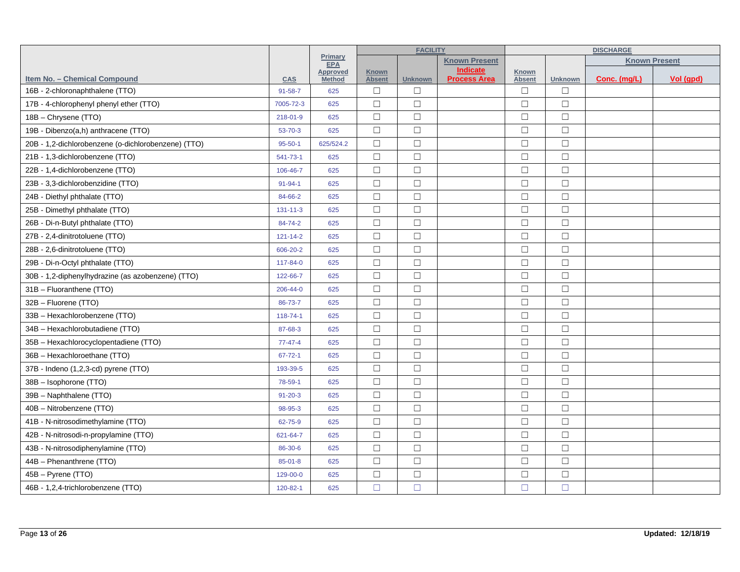|                                                     |                |                                  | <b>FACILITY</b>               |                |                                        |                        | <b>DISCHARGE</b> |                      |           |  |
|-----------------------------------------------------|----------------|----------------------------------|-------------------------------|----------------|----------------------------------------|------------------------|------------------|----------------------|-----------|--|
|                                                     |                | Primary<br><b>EPA</b>            |                               |                | <b>Known Present</b>                   |                        |                  | <b>Known Present</b> |           |  |
| Item No. - Chemical Compound                        | <b>CAS</b>     | <b>Approved</b><br><b>Method</b> | <b>Known</b><br><b>Absent</b> | <b>Unknown</b> | <b>Indicate</b><br><b>Process Area</b> | Known<br><b>Absent</b> | <b>Unknown</b>   | Conc. (mg/L)         | Vol (gpd) |  |
| 16B - 2-chloronaphthalene (TTO)                     | $91 - 58 - 7$  | 625                              | $\Box$                        | $\Box$         |                                        | $\Box$                 | □                |                      |           |  |
| 17B - 4-chlorophenyl phenyl ether (TTO)             | 7005-72-3      | 625                              | $\Box$                        | $\Box$         |                                        | $\Box$                 | $\Box$           |                      |           |  |
| 18B - Chrysene (TTO)                                | 218-01-9       | 625                              | $\Box$                        | $\Box$         |                                        | $\Box$                 | $\Box$           |                      |           |  |
| 19B - Dibenzo(a,h) anthracene (TTO)                 | 53-70-3        | 625                              | $\Box$                        | $\Box$         |                                        | $\Box$                 | $\Box$           |                      |           |  |
| 20B - 1,2-dichlorobenzene (o-dichlorobenzene) (TTO) | $95 - 50 - 1$  | 625/524.2                        | $\Box$                        | $\Box$         |                                        | $\Box$                 | $\Box$           |                      |           |  |
| 21B - 1,3-dichlorobenzene (TTO)                     | 541-73-1       | 625                              | $\Box$                        | $\Box$         |                                        | $\Box$                 | $\Box$           |                      |           |  |
| 22B - 1,4-dichlorobenzene (TTO)                     | 106-46-7       | 625                              | $\Box$                        | $\Box$         |                                        | $\Box$                 | $\Box$           |                      |           |  |
| 23B - 3,3-dichlorobenzidine (TTO)                   | $91 - 94 - 1$  | 625                              | $\Box$                        | $\Box$         |                                        | $\Box$                 | $\Box$           |                      |           |  |
| 24B - Diethyl phthalate (TTO)                       | 84-66-2        | 625                              | $\Box$                        | $\Box$         |                                        | $\Box$                 | $\Box$           |                      |           |  |
| 25B - Dimethyl phthalate (TTO)                      | $131 - 11 - 3$ | 625                              | $\Box$                        | $\Box$         |                                        | $\Box$                 | $\Box$           |                      |           |  |
| 26B - Di-n-Butyl phthalate (TTO)                    | 84-74-2        | 625                              | $\Box$                        | $\Box$         |                                        | $\Box$                 | $\Box$           |                      |           |  |
| 27B - 2,4-dinitrotoluene (TTO)                      | $121 - 14 - 2$ | 625                              | $\Box$                        | $\Box$         |                                        | $\Box$                 | $\Box$           |                      |           |  |
| 28B - 2,6-dinitrotoluene (TTO)                      | 606-20-2       | 625                              | $\Box$                        | $\Box$         |                                        | $\Box$                 | $\Box$           |                      |           |  |
| 29B - Di-n-Octyl phthalate (TTO)                    | 117-84-0       | 625                              | $\Box$                        | $\Box$         |                                        | $\Box$                 | $\Box$           |                      |           |  |
| 30B - 1,2-diphenylhydrazine (as azobenzene) (TTO)   | 122-66-7       | 625                              | $\Box$                        | $\Box$         |                                        | $\Box$                 | $\Box$           |                      |           |  |
| 31B - Fluoranthene (TTO)                            | 206-44-0       | 625                              | $\Box$                        | $\Box$         |                                        | $\Box$                 | $\Box$           |                      |           |  |
| 32B - Fluorene (TTO)                                | 86-73-7        | 625                              | $\Box$                        | $\Box$         |                                        | $\Box$                 | $\Box$           |                      |           |  |
| 33B - Hexachlorobenzene (TTO)                       | 118-74-1       | 625                              | $\Box$                        | $\Box$         |                                        | $\Box$                 | $\Box$           |                      |           |  |
| 34B - Hexachlorobutadiene (TTO)                     | 87-68-3        | 625                              | $\Box$                        | $\Box$         |                                        | $\Box$                 | $\Box$           |                      |           |  |
| 35B - Hexachlorocyclopentadiene (TTO)               | $77 - 47 - 4$  | 625                              | $\Box$                        | $\Box$         |                                        | $\Box$                 | $\Box$           |                      |           |  |
| 36B - Hexachloroethane (TTO)                        | $67 - 72 - 1$  | 625                              | $\Box$                        | $\Box$         |                                        | $\Box$                 | $\Box$           |                      |           |  |
| 37B - Indeno (1,2,3-cd) pyrene (TTO)                | 193-39-5       | 625                              | $\Box$                        | $\Box$         |                                        | $\Box$                 | $\Box$           |                      |           |  |
| 38B - Isophorone (TTO)                              | 78-59-1        | 625                              | $\Box$                        | $\Box$         |                                        | $\Box$                 | $\Box$           |                      |           |  |
| 39B - Naphthalene (TTO)                             | $91 - 20 - 3$  | 625                              | $\Box$                        | $\Box$         |                                        | $\Box$                 | $\Box$           |                      |           |  |
| 40B - Nitrobenzene (TTO)                            | 98-95-3        | 625                              | $\Box$                        | $\Box$         |                                        | $\Box$                 | $\Box$           |                      |           |  |
| 41B - N-nitrosodimethylamine (TTO)                  | 62-75-9        | 625                              | $\Box$                        | $\Box$         |                                        | $\Box$                 | $\Box$           |                      |           |  |
| 42B - N-nitrosodi-n-propylamine (TTO)               | 621-64-7       | 625                              | $\Box$                        | $\Box$         |                                        | $\Box$                 | $\Box$           |                      |           |  |
| 43B - N-nitrosodiphenylamine (TTO)                  | 86-30-6        | 625                              | $\Box$                        | $\Box$         |                                        | $\Box$                 | $\Box$           |                      |           |  |
| 44B - Phenanthrene (TTO)                            | $85 - 01 - 8$  | 625                              | $\Box$                        | $\Box$         |                                        | $\Box$                 | $\Box$           |                      |           |  |
| 45B - Pyrene (TTO)                                  | 129-00-0       | 625                              | $\Box$                        | $\Box$         |                                        | $\Box$                 | $\Box$           |                      |           |  |
| 46B - 1,2,4-trichlorobenzene (TTO)                  | 120-82-1       | 625                              | $\Box$                        | $\Box$         |                                        | $\Box$                 | $\Box$           |                      |           |  |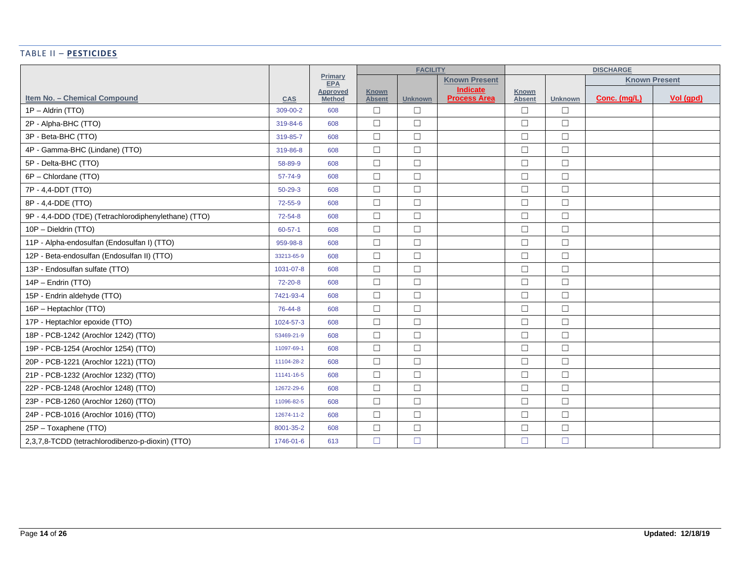## TABLE II – **PESTICIDES**

|                                                      |               |                           | <b>FACILITY</b>               |                |                                        |                        |                | <b>DISCHARGE</b> |                      |
|------------------------------------------------------|---------------|---------------------------|-------------------------------|----------------|----------------------------------------|------------------------|----------------|------------------|----------------------|
|                                                      |               | Primary<br><b>EPA</b>     |                               |                | <b>Known Present</b>                   |                        |                |                  | <b>Known Present</b> |
| Item No. - Chemical Compound                         | <b>CAS</b>    | Approved<br><b>Method</b> | <b>Known</b><br><b>Absent</b> | <b>Unknown</b> | <b>Indicate</b><br><b>Process Area</b> | Known<br><b>Absent</b> | <b>Unknown</b> | Conc. (mg/L)     | Vol (qpd)            |
| 1P - Aldrin (TTO)                                    | 309-00-2      | 608                       | $\Box$                        | $\Box$         |                                        | $\Box$                 | $\Box$         |                  |                      |
| 2P - Alpha-BHC (TTO)                                 | 319-84-6      | 608                       | $\Box$                        | $\Box$         |                                        | $\Box$                 | $\Box$         |                  |                      |
| 3P - Beta-BHC (TTO)                                  | 319-85-7      | 608                       | $\Box$                        | $\Box$         |                                        | $\Box$                 | $\Box$         |                  |                      |
| 4P - Gamma-BHC (Lindane) (TTO)                       | 319-86-8      | 608                       | $\Box$                        | $\Box$         |                                        | $\Box$                 | $\Box$         |                  |                      |
| 5P - Delta-BHC (TTO)                                 | 58-89-9       | 608                       | $\Box$                        | $\Box$         |                                        | $\Box$                 | $\Box$         |                  |                      |
| 6P - Chlordane (TTO)                                 | 57-74-9       | 608                       | $\Box$                        | $\Box$         |                                        | $\Box$                 | $\Box$         |                  |                      |
| 7P - 4,4-DDT (TTO)                                   | $50 - 29 - 3$ | 608                       | $\Box$                        | $\Box$         |                                        | $\Box$                 | $\Box$         |                  |                      |
| 8P - 4,4-DDE (TTO)                                   | $72 - 55 - 9$ | 608                       | $\Box$                        | $\Box$         |                                        | $\Box$                 | $\Box$         |                  |                      |
| 9P - 4,4-DDD (TDE) (Tetrachlorodiphenylethane) (TTO) | $72 - 54 - 8$ | 608                       | $\Box$                        | $\Box$         |                                        | $\Box$                 | $\Box$         |                  |                      |
| 10P - Dieldrin (TTO)                                 | $60 - 57 - 1$ | 608                       | $\Box$                        | $\Box$         |                                        | $\Box$                 | $\Box$         |                  |                      |
| 11P - Alpha-endosulfan (Endosulfan I) (TTO)          | 959-98-8      | 608                       | $\Box$                        | $\Box$         |                                        | $\Box$                 | $\Box$         |                  |                      |
| 12P - Beta-endosulfan (Endosulfan II) (TTO)          | 33213-65-9    | 608                       | $\Box$                        | $\Box$         |                                        | $\Box$                 | $\Box$         |                  |                      |
| 13P - Endosulfan sulfate (TTO)                       | 1031-07-8     | 608                       | $\Box$                        | $\Box$         |                                        | $\Box$                 | $\Box$         |                  |                      |
| 14P - Endrin (TTO)                                   | 72-20-8       | 608                       | $\Box$                        | $\Box$         |                                        | $\Box$                 | $\Box$         |                  |                      |
| 15P - Endrin aldehyde (TTO)                          | 7421-93-4     | 608                       | $\Box$                        | $\Box$         |                                        | $\Box$                 | $\Box$         |                  |                      |
| 16P - Heptachlor (TTO)                               | 76-44-8       | 608                       | $\Box$                        | $\Box$         |                                        | $\Box$                 | $\Box$         |                  |                      |
| 17P - Heptachlor epoxide (TTO)                       | 1024-57-3     | 608                       | $\Box$                        | $\Box$         |                                        | $\Box$                 | $\Box$         |                  |                      |
| 18P - PCB-1242 (Arochlor 1242) (TTO)                 | 53469-21-9    | 608                       | $\Box$                        | $\Box$         |                                        | $\Box$                 | $\Box$         |                  |                      |
| 19P - PCB-1254 (Arochlor 1254) (TTO)                 | 11097-69-1    | 608                       | $\Box$                        | $\Box$         |                                        | $\Box$                 | $\Box$         |                  |                      |
| 20P - PCB-1221 (Arochlor 1221) (TTO)                 | 11104-28-2    | 608                       | $\Box$                        | $\Box$         |                                        | $\Box$                 | $\Box$         |                  |                      |
| 21P - PCB-1232 (Arochlor 1232) (TTO)                 | 11141-16-5    | 608                       | $\Box$                        | $\Box$         |                                        | $\Box$                 | $\Box$         |                  |                      |
| 22P - PCB-1248 (Arochlor 1248) (TTO)                 | 12672-29-6    | 608                       | $\Box$                        | $\Box$         |                                        | $\Box$                 | $\Box$         |                  |                      |
| 23P - PCB-1260 (Arochlor 1260) (TTO)                 | 11096-82-5    | 608                       | $\Box$                        | $\Box$         |                                        | $\Box$                 | $\Box$         |                  |                      |
| 24P - PCB-1016 (Arochlor 1016) (TTO)                 | 12674-11-2    | 608                       | $\Box$                        | $\Box$         |                                        | $\Box$                 | $\Box$         |                  |                      |
| 25P - Toxaphene (TTO)                                | 8001-35-2     | 608                       | $\Box$                        | $\Box$         |                                        | $\Box$                 | $\Box$         |                  |                      |
| 2,3,7,8-TCDD (tetrachlorodibenzo-p-dioxin) (TTO)     | 1746-01-6     | 613                       | $\Box$                        | $\Box$         |                                        | $\Box$                 | $\Box$         |                  |                      |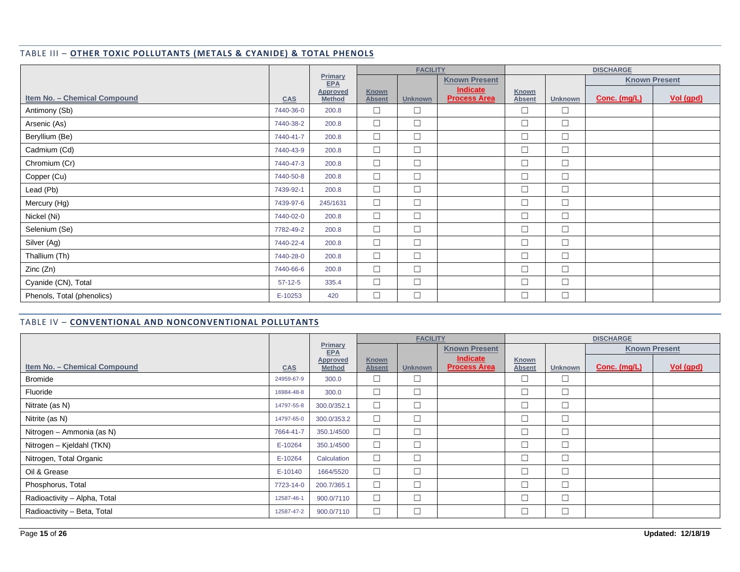#### TABLE III – **OTHER TOXIC POLLUTANTS (METALS & CYANIDE) & TOTAL PHENOLS**

|                                     |            |                           | <b>FACILITY</b>               |                |                                 |                        | <b>DISCHARGE</b> |              |                      |
|-------------------------------------|------------|---------------------------|-------------------------------|----------------|---------------------------------|------------------------|------------------|--------------|----------------------|
|                                     |            | Primary<br><b>EPA</b>     |                               |                | <b>Known Present</b>            |                        |                  |              | <b>Known Present</b> |
| <b>Item No. - Chemical Compound</b> | <b>CAS</b> | Approved<br><b>Method</b> | <b>Known</b><br><b>Absent</b> | <b>Unknown</b> | Indicate<br><b>Process Area</b> | Known<br><b>Absent</b> | <b>Unknown</b>   | Conc. (mg/L) | Vol (gpd)            |
| Antimony (Sb)                       | 7440-36-0  | 200.8                     | $\Box$                        | $\Box$         |                                 | $\Box$                 | $\Box$           |              |                      |
| Arsenic (As)                        | 7440-38-2  | 200.8                     | $\Box$                        | $\Box$         |                                 | $\Box$                 | $\Box$           |              |                      |
| Beryllium (Be)                      | 7440-41-7  | 200.8                     | $\Box$                        | $\Box$         |                                 | $\Box$                 | $\Box$           |              |                      |
| Cadmium (Cd)                        | 7440-43-9  | 200.8                     | $\Box$                        | $\Box$         |                                 | $\Box$                 | $\Box$           |              |                      |
| Chromium (Cr)                       | 7440-47-3  | 200.8                     | $\Box$                        | $\Box$         |                                 | $\Box$                 | $\Box$           |              |                      |
| Copper (Cu)                         | 7440-50-8  | 200.8                     | $\Box$                        | $\Box$         |                                 | $\Box$                 | $\Box$           |              |                      |
| Lead (Pb)                           | 7439-92-1  | 200.8                     | $\Box$                        | $\Box$         |                                 | $\Box$                 | $\Box$           |              |                      |
| Mercury (Hg)                        | 7439-97-6  | 245/1631                  | $\Box$                        | $\Box$         |                                 | $\Box$                 | $\Box$           |              |                      |
| Nickel (Ni)                         | 7440-02-0  | 200.8                     | $\Box$                        | $\Box$         |                                 | $\Box$                 | $\Box$           |              |                      |
| Selenium (Se)                       | 7782-49-2  | 200.8                     | $\Box$                        | $\Box$         |                                 | $\Box$                 | $\Box$           |              |                      |
| Silver (Ag)                         | 7440-22-4  | 200.8                     | $\Box$                        | $\Box$         |                                 | $\Box$                 | $\Box$           |              |                      |
| Thallium (Th)                       | 7440-28-0  | 200.8                     | $\Box$                        | $\Box$         |                                 | $\Box$                 | $\Box$           |              |                      |
| Zinc (Zn)                           | 7440-66-6  | 200.8                     | $\Box$                        | $\Box$         |                                 | $\Box$                 | $\Box$           |              |                      |
| Cyanide (CN), Total                 | $57-12-5$  | 335.4                     | $\Box$                        | $\Box$         |                                 | $\Box$                 | $\Box$           |              |                      |
| Phenols, Total (phenolics)          | E-10253    | 420                       | $\Box$                        | $\Box$         |                                 | $\Box$                 | $\Box$           |              |                      |

### TABLE IV – **CONVENTIONAL AND NONCONVENTIONAL POLLUTANTS**

|                              |            |                                  | <b>FACILITY</b>               |                |                                 |                               |                | <b>DISCHARGE</b>     |                  |
|------------------------------|------------|----------------------------------|-------------------------------|----------------|---------------------------------|-------------------------------|----------------|----------------------|------------------|
|                              |            | Primary<br><b>EPA</b>            |                               |                | <b>Known Present</b>            |                               |                | <b>Known Present</b> |                  |
| Item No. - Chemical Compound | <b>CAS</b> | <b>Approved</b><br><b>Method</b> | <b>Known</b><br><b>Absent</b> | <b>Unknown</b> | Indicate<br><b>Process Area</b> | <b>Known</b><br><b>Absent</b> | <b>Unknown</b> | Conc. (mg/L)         | <u>Vol (gpd)</u> |
| <b>Bromide</b>               | 24959-67-9 | 300.0                            |                               | $\Box$         |                                 |                               | $\Box$         |                      |                  |
| Fluoride                     | 16984-48-8 | 300.0                            | $\Box$                        | $\Box$         |                                 | $\Box$                        | $\Box$         |                      |                  |
| Nitrate (as N)               | 14797-55-8 | 300.0/352.1                      | $\Box$                        | $\Box$         |                                 |                               | $\Box$         |                      |                  |
| Nitrite (as N)               | 14797-65-0 | 300.0/353.2                      | $\Box$                        | $\Box$         |                                 |                               | $\Box$         |                      |                  |
| Nitrogen - Ammonia (as N)    | 7664-41-7  | 350.1/4500                       | $\Box$                        | $\Box$         |                                 | $\Box$                        | $\Box$         |                      |                  |
| Nitrogen – Kjeldahl (TKN)    | E-10264    | 350.1/4500                       | $\Box$                        | $\Box$         |                                 | $\Box$                        | $\Box$         |                      |                  |
| Nitrogen, Total Organic      | E-10264    | Calculation                      | $\Box$                        | $\Box$         |                                 |                               | $\Box$         |                      |                  |
| Oil & Grease                 | E-10140    | 1664/5520                        | $\Box$                        | $\Box$         |                                 | $\Box$                        | $\Box$         |                      |                  |
| Phosphorus, Total            | 7723-14-0  | 200.7/365.1                      | $\Box$                        | $\Box$         |                                 | $\Box$                        | $\Box$         |                      |                  |
| Radioactivity - Alpha, Total | 12587-46-1 | 900.0/7110                       | $\Box$                        | $\Box$         |                                 | $\Box$                        | $\Box$         |                      |                  |
| Radioactivity - Beta, Total  | 12587-47-2 | 900.0/7110                       | $\Box$                        | $\Box$         |                                 | $\Box$                        | $\Box$         |                      |                  |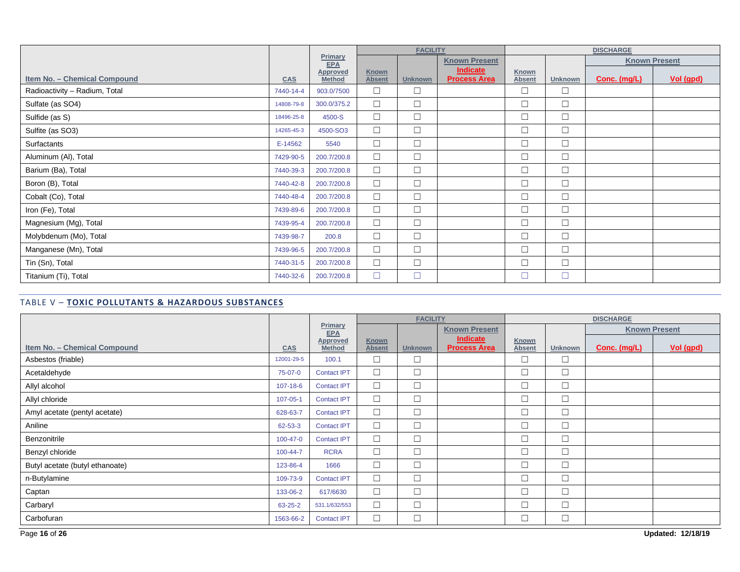|                               |            |                                  |                               | <b>FACILITY</b> |                                        |                        |                | <b>DISCHARGE</b> |                      |
|-------------------------------|------------|----------------------------------|-------------------------------|-----------------|----------------------------------------|------------------------|----------------|------------------|----------------------|
|                               |            | Primary<br><b>EPA</b>            |                               |                 | <b>Known Present</b>                   |                        |                |                  | <b>Known Present</b> |
| Item No. - Chemical Compound  | <b>CAS</b> | <b>Approved</b><br><b>Method</b> | <b>Known</b><br><b>Absent</b> | <b>Unknown</b>  | <b>Indicate</b><br><b>Process Area</b> | Known<br><b>Absent</b> | <b>Unknown</b> | Conc. (mg/L)     | Vol (gpd)            |
| Radioactivity - Radium, Total | 7440-14-4  | 903.0/7500                       | $\Box$                        | $\Box$          |                                        | $\Box$                 | $\Box$         |                  |                      |
| Sulfate (as SO4)              | 14808-79-8 | 300.0/375.2                      | $\Box$                        | $\Box$          |                                        | $\Box$                 | $\Box$         |                  |                      |
| Sulfide (as S)                | 18496-25-8 | 4500-S                           | $\Box$                        | $\Box$          |                                        | $\Box$                 | $\Box$         |                  |                      |
| Sulfite (as SO3)              | 14265-45-3 | 4500-SO3                         | $\Box$                        | $\Box$          |                                        | $\Box$                 | $\Box$         |                  |                      |
| Surfactants                   | E-14562    | 5540                             | $\Box$                        | $\Box$          |                                        | $\Box$                 | $\Box$         |                  |                      |
| Aluminum (Al), Total          | 7429-90-5  | 200.7/200.8                      | $\Box$                        | $\Box$          |                                        | $\Box$                 | $\Box$         |                  |                      |
| Barium (Ba), Total            | 7440-39-3  | 200.7/200.8                      | $\Box$                        | $\Box$          |                                        | $\Box$                 | $\Box$         |                  |                      |
| Boron (B), Total              | 7440-42-8  | 200.7/200.8                      | $\Box$                        | $\Box$          |                                        | $\Box$                 | $\Box$         |                  |                      |
| Cobalt (Co), Total            | 7440-48-4  | 200.7/200.8                      | $\Box$                        | $\Box$          |                                        | $\Box$                 | $\Box$         |                  |                      |
| Iron (Fe), Total              | 7439-89-6  | 200.7/200.8                      | $\Box$                        | $\Box$          |                                        | $\Box$                 | $\Box$         |                  |                      |
| Magnesium (Mg), Total         | 7439-95-4  | 200.7/200.8                      | $\Box$                        | $\Box$          |                                        | $\Box$                 | $\Box$         |                  |                      |
| Molybdenum (Mo), Total        | 7439-98-7  | 200.8                            | $\Box$                        | $\Box$          |                                        | $\Box$                 | $\Box$         |                  |                      |
| Manganese (Mn), Total         | 7439-96-5  | 200.7/200.8                      | $\Box$                        | $\Box$          |                                        | $\Box$                 | $\Box$         |                  |                      |
| Tin (Sn), Total               | 7440-31-5  | 200.7/200.8                      | $\Box$                        | $\Box$          |                                        | $\Box$                 | $\Box$         |                  |                      |
| Titanium (Ti), Total          | 7440-32-6  | 200.7/200.8                      | $\Box$                        | $\Box$          |                                        | $\Box$                 | $\Box$         |                  |                      |

### TABLE V – **TOXIC POLLUTANTS & HAZARDOUS SUBSTANCES**

|                                 |                |                           | <b>FACILITY</b>               |                |                                        |                        |                | <b>DISCHARGE</b> |                      |
|---------------------------------|----------------|---------------------------|-------------------------------|----------------|----------------------------------------|------------------------|----------------|------------------|----------------------|
|                                 |                | Primary<br>EPA            |                               |                | <b>Known Present</b>                   |                        |                |                  | <b>Known Present</b> |
| Item No. - Chemical Compound    | <b>CAS</b>     | Approved<br><b>Method</b> | <b>Known</b><br><b>Absent</b> | <b>Unknown</b> | <b>Indicate</b><br><b>Process Area</b> | Known<br><b>Absent</b> | <b>Unknown</b> | Conc. (mg/L)     | Vol (gpd)            |
| Asbestos (friable)              | 12001-29-5     | 100.1                     | $\Box$                        | $\Box$         |                                        | $\Box$                 | $\Box$         |                  |                      |
| Acetaldehyde                    | 75-07-0        | <b>Contact IPT</b>        | $\Box$                        | $\Box$         |                                        | $\Box$                 | $\Box$         |                  |                      |
| Allyl alcohol                   | $107 - 18 - 6$ | <b>Contact IPT</b>        | $\Box$                        | $\Box$         |                                        | $\Box$                 | $\Box$         |                  |                      |
| Allyl chloride                  | 107-05-1       | <b>Contact IPT</b>        | $\Box$                        | $\Box$         |                                        | $\Box$                 | $\Box$         |                  |                      |
| Amyl acetate (pentyl acetate)   | 628-63-7       | <b>Contact IPT</b>        | $\Box$                        | $\Box$         |                                        | $\Box$                 | $\Box$         |                  |                      |
| Aniline                         | 62-53-3        | <b>Contact IPT</b>        | $\Box$                        | $\Box$         |                                        | $\Box$                 | $\Box$         |                  |                      |
| Benzonitrile                    | 100-47-0       | <b>Contact IPT</b>        | $\Box$                        | $\Box$         |                                        | $\Box$                 | $\Box$         |                  |                      |
| Benzyl chloride                 | 100-44-7       | <b>RCRA</b>               | $\Box$                        | $\Box$         |                                        | $\Box$                 | $\Box$         |                  |                      |
| Butyl acetate (butyl ethanoate) | 123-86-4       | 1666                      | $\Box$                        | $\Box$         |                                        | $\Box$                 | $\Box$         |                  |                      |
| n-Butylamine                    | 109-73-9       | <b>Contact IPT</b>        | $\Box$                        | $\Box$         |                                        | $\Box$                 | $\Box$         |                  |                      |
| Captan                          | 133-06-2       | 617/6630                  | $\Box$                        | $\Box$         |                                        | $\Box$                 | $\Box$         |                  |                      |
| Carbaryl                        | 63-25-2        | 531.1/632/553             | $\Box$                        | $\Box$         |                                        | $\Box$                 | $\Box$         |                  |                      |
| Carbofuran                      | 1563-66-2      | <b>Contact IPT</b>        | $\Box$                        | $\Box$         |                                        | $\Box$                 | $\Box$         |                  |                      |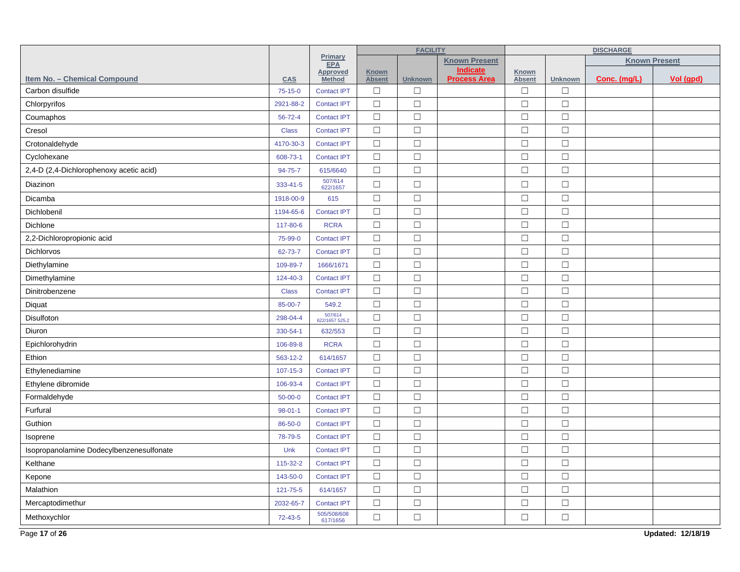|                                          |                |                           | <b>FACILITY</b>               |                |                                        | <b>DISCHARGE</b>              |                |              |                      |
|------------------------------------------|----------------|---------------------------|-------------------------------|----------------|----------------------------------------|-------------------------------|----------------|--------------|----------------------|
|                                          |                | Primary<br><b>EPA</b>     |                               |                | <b>Known Present</b>                   |                               |                |              | <b>Known Present</b> |
| Item No. - Chemical Compound             | CAS            | Approved<br><b>Method</b> | <b>Known</b><br><b>Absent</b> | <b>Unknown</b> | <b>Indicate</b><br><b>Process Area</b> | <b>Known</b><br><b>Absent</b> | <b>Unknown</b> | Conc. (mg/L) | Vol (gpd)            |
| Carbon disulfide                         | $75-15-0$      | <b>Contact IPT</b>        | $\Box$                        | $\Box$         |                                        | $\Box$                        | $\Box$         |              |                      |
| Chlorpyrifos                             | 2921-88-2      | <b>Contact IPT</b>        | $\Box$                        | $\Box$         |                                        | $\Box$                        | $\Box$         |              |                      |
| Coumaphos                                | $56 - 72 - 4$  | <b>Contact IPT</b>        | $\Box$                        | $\Box$         |                                        | $\Box$                        | $\Box$         |              |                      |
| Cresol                                   | <b>Class</b>   | <b>Contact IPT</b>        | $\Box$                        | $\Box$         |                                        | $\Box$                        | $\Box$         |              |                      |
| Crotonaldehyde                           | 4170-30-3      | <b>Contact IPT</b>        | $\Box$                        | $\Box$         |                                        | $\Box$                        | $\Box$         |              |                      |
| Cyclohexane                              | 608-73-1       | <b>Contact IPT</b>        | $\Box$                        | $\Box$         |                                        | $\Box$                        | $\Box$         |              |                      |
| 2,4-D (2,4-Dichlorophenoxy acetic acid)  | 94-75-7        | 615/6640                  | $\Box$                        | $\Box$         |                                        | $\Box$                        | $\Box$         |              |                      |
| Diazinon                                 | 333-41-5       | 507/614<br>622/1657       | $\Box$                        | $\Box$         |                                        | $\Box$                        | $\Box$         |              |                      |
| Dicamba                                  | 1918-00-9      | 615                       | $\Box$                        | $\Box$         |                                        | $\Box$                        | $\Box$         |              |                      |
| Dichlobenil                              | 1194-65-6      | <b>Contact IPT</b>        | $\Box$                        | $\Box$         |                                        | $\Box$                        | $\Box$         |              |                      |
| Dichlone                                 | 117-80-6       | <b>RCRA</b>               | $\Box$                        | $\Box$         |                                        | $\Box$                        | $\Box$         |              |                      |
| 2,2-Dichloropropionic acid               | 75-99-0        | <b>Contact IPT</b>        | $\Box$                        | $\Box$         |                                        | $\Box$                        | $\Box$         |              |                      |
| Dichlorvos                               | 62-73-7        | <b>Contact IPT</b>        | $\Box$                        | $\Box$         |                                        | $\Box$                        | $\Box$         |              |                      |
| Diethylamine                             | 109-89-7       | 1666/1671                 | $\Box$                        | $\Box$         |                                        | $\Box$                        | $\Box$         |              |                      |
| Dimethylamine                            | 124-40-3       | <b>Contact IPT</b>        | $\Box$                        | $\Box$         |                                        | $\Box$                        | $\Box$         |              |                      |
| Dinitrobenzene                           | <b>Class</b>   | <b>Contact IPT</b>        | $\Box$                        | $\Box$         |                                        | $\Box$                        | $\Box$         |              |                      |
| Diquat                                   | 85-00-7        | 549.2                     | $\Box$                        | $\Box$         |                                        | $\Box$                        | $\Box$         |              |                      |
| Disulfoton                               | 298-04-4       | 507/614<br>622/1657 525.2 | $\Box$                        | $\Box$         |                                        | $\Box$                        | $\Box$         |              |                      |
| Diuron                                   | 330-54-1       | 632/553                   | $\Box$                        | $\Box$         |                                        | $\Box$                        | $\Box$         |              |                      |
| Epichlorohydrin                          | 106-89-8       | <b>RCRA</b>               | $\Box$                        | $\Box$         |                                        | $\Box$                        | $\Box$         |              |                      |
| Ethion                                   | 563-12-2       | 614/1657                  | $\Box$                        | $\Box$         |                                        | $\Box$                        | $\Box$         |              |                      |
| Ethylenediamine                          | $107 - 15 - 3$ | <b>Contact IPT</b>        | $\Box$                        | $\Box$         |                                        | $\Box$                        | $\Box$         |              |                      |
| Ethylene dibromide                       | 106-93-4       | <b>Contact IPT</b>        | $\Box$                        | $\Box$         |                                        | $\Box$                        | $\Box$         |              |                      |
| Formaldehyde                             | $50 - 00 - 0$  | <b>Contact IPT</b>        | $\Box$                        | $\Box$         |                                        | $\Box$                        | $\Box$         |              |                      |
| Furfural                                 | $98 - 01 - 1$  | <b>Contact IPT</b>        | $\Box$                        | $\Box$         |                                        | $\Box$                        | $\Box$         |              |                      |
| Guthion                                  | 86-50-0        | <b>Contact IPT</b>        | $\Box$                        | $\Box$         |                                        | $\Box$                        | $\Box$         |              |                      |
| Isoprene                                 | 78-79-5        | <b>Contact IPT</b>        | $\Box$                        | $\Box$         |                                        | $\Box$                        | $\Box$         |              |                      |
| Isopropanolamine Dodecylbenzenesulfonate | Unk            | <b>Contact IPT</b>        | $\Box$                        | $\Box$         |                                        | $\Box$                        | $\Box$         |              |                      |
| Kelthane                                 | 115-32-2       | <b>Contact IPT</b>        | $\Box$                        | $\Box$         |                                        | $\Box$                        | $\Box$         |              |                      |
| Kepone                                   | 143-50-0       | <b>Contact IPT</b>        | $\Box$                        | $\Box$         |                                        | $\Box$                        | $\Box$         |              |                      |
| Malathion                                | 121-75-5       | 614/1657                  | $\Box$                        | $\Box$         |                                        | $\Box$                        | $\Box$         |              |                      |
| Mercaptodimethur                         | 2032-65-7      | <b>Contact IPT</b>        | $\Box$                        | $\Box$         |                                        | $\Box$                        | $\Box$         |              |                      |
| Methoxychlor                             | $72 - 43 - 5$  | 505/508/608<br>617/1656   | $\Box$                        | $\Box$         |                                        | $\Box$                        | $\Box$         |              |                      |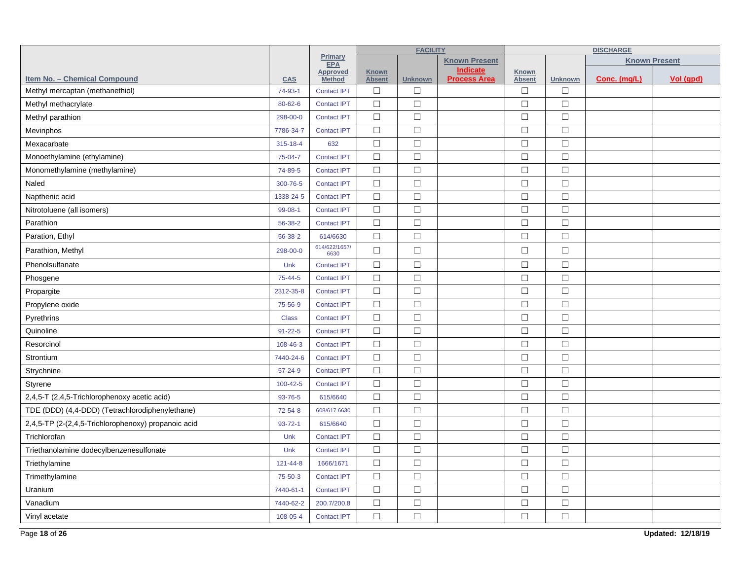|                                                     |               |                                  | <b>FACILITY</b>               |                |                                 |                               | <b>DISCHARGE</b> |              |                      |  |
|-----------------------------------------------------|---------------|----------------------------------|-------------------------------|----------------|---------------------------------|-------------------------------|------------------|--------------|----------------------|--|
|                                                     |               | Primary<br><b>EPA</b>            |                               |                | <b>Known Present</b>            |                               |                  |              | <b>Known Present</b> |  |
| Item No. - Chemical Compound                        | <b>CAS</b>    | <b>Approved</b><br><b>Method</b> | <b>Known</b><br><b>Absent</b> | <b>Unknown</b> | Indicate<br><b>Process Area</b> | <b>Known</b><br><b>Absent</b> | <b>Unknown</b>   | Conc. (mg/L) | Vol (gpd)            |  |
| Methyl mercaptan (methanethiol)                     | 74-93-1       | <b>Contact IPT</b>               | $\Box$                        | $\Box$         |                                 | $\Box$                        | $\Box$           |              |                      |  |
| Methyl methacrylate                                 | 80-62-6       | <b>Contact IPT</b>               | $\Box$                        | $\Box$         |                                 | $\Box$                        | $\Box$           |              |                      |  |
| Methyl parathion                                    | 298-00-0      | <b>Contact IPT</b>               | $\Box$                        | $\Box$         |                                 | $\Box$                        | $\Box$           |              |                      |  |
| Mevinphos                                           | 7786-34-7     | <b>Contact IPT</b>               | $\Box$                        | $\Box$         |                                 | $\Box$                        | $\Box$           |              |                      |  |
| Mexacarbate                                         | 315-18-4      | 632                              | $\Box$                        | $\Box$         |                                 | $\Box$                        | $\Box$           |              |                      |  |
| Monoethylamine (ethylamine)                         | 75-04-7       | <b>Contact IPT</b>               | $\Box$                        | $\Box$         |                                 | $\Box$                        | $\Box$           |              |                      |  |
| Monomethylamine (methylamine)                       | 74-89-5       | <b>Contact IPT</b>               | $\Box$                        | $\Box$         |                                 | $\Box$                        | $\Box$           |              |                      |  |
| Naled                                               | 300-76-5      | <b>Contact IPT</b>               | $\Box$                        | $\Box$         |                                 | $\Box$                        | $\Box$           |              |                      |  |
| Napthenic acid                                      | 1338-24-5     | <b>Contact IPT</b>               | $\Box$                        | $\Box$         |                                 | $\Box$                        | $\Box$           |              |                      |  |
| Nitrotoluene (all isomers)                          | $99 - 08 - 1$ | <b>Contact IPT</b>               | $\Box$                        | $\Box$         |                                 | $\Box$                        | $\Box$           |              |                      |  |
| Parathion                                           | 56-38-2       | <b>Contact IPT</b>               | $\Box$                        | $\Box$         |                                 | $\Box$                        | $\Box$           |              |                      |  |
| Paration, Ethyl                                     | 56-38-2       | 614/6630                         | $\Box$                        | $\Box$         |                                 | $\Box$                        | $\Box$           |              |                      |  |
| Parathion, Methyl                                   | 298-00-0      | 614/622/1657/<br>6630            | $\Box$                        | $\Box$         |                                 | $\Box$                        | $\Box$           |              |                      |  |
| Phenolsulfanate                                     | Unk           | <b>Contact IPT</b>               | $\Box$                        | $\Box$         |                                 | $\Box$                        | $\Box$           |              |                      |  |
| Phosgene                                            | 75-44-5       | <b>Contact IPT</b>               | $\Box$                        | $\Box$         |                                 | $\Box$                        | $\Box$           |              |                      |  |
| Propargite                                          | 2312-35-8     | <b>Contact IPT</b>               | $\Box$                        | $\Box$         |                                 | $\Box$                        | $\Box$           |              |                      |  |
| Propylene oxide                                     | 75-56-9       | <b>Contact IPT</b>               | $\Box$                        | $\Box$         |                                 | $\Box$                        | $\Box$           |              |                      |  |
| Pyrethrins                                          | <b>Class</b>  | <b>Contact IPT</b>               | $\Box$                        | $\Box$         |                                 | $\Box$                        | $\Box$           |              |                      |  |
| Quinoline                                           | $91 - 22 - 5$ | <b>Contact IPT</b>               | $\Box$                        | $\Box$         |                                 | $\Box$                        | $\Box$           |              |                      |  |
| Resorcinol                                          | 108-46-3      | <b>Contact IPT</b>               | $\Box$                        | $\Box$         |                                 | $\Box$                        | $\Box$           |              |                      |  |
| Strontium                                           | 7440-24-6     | <b>Contact IPT</b>               | $\Box$                        | $\Box$         |                                 | $\Box$                        | $\Box$           |              |                      |  |
| Strychnine                                          | $57 - 24 - 9$ | <b>Contact IPT</b>               | $\Box$                        | $\Box$         |                                 | $\Box$                        | $\Box$           |              |                      |  |
| Styrene                                             | 100-42-5      | <b>Contact IPT</b>               | $\Box$                        | $\Box$         |                                 | $\Box$                        | $\Box$           |              |                      |  |
| 2,4,5-T (2,4,5-Trichlorophenoxy acetic acid)        | 93-76-5       | 615/6640                         | $\Box$                        | $\Box$         |                                 | $\Box$                        | $\Box$           |              |                      |  |
| TDE (DDD) (4,4-DDD) (Tetrachlorodiphenylethane)     | $72 - 54 - 8$ | 608/617 6630                     | $\Box$                        | $\Box$         |                                 | $\Box$                        | $\Box$           |              |                      |  |
| 2,4,5-TP (2-(2,4,5-Trichlorophenoxy) propanoic acid | $93 - 72 - 1$ | 615/6640                         | $\Box$                        | $\Box$         |                                 | $\Box$                        | $\Box$           |              |                      |  |
| Trichlorofan                                        | Unk           | <b>Contact IPT</b>               | $\Box$                        | $\Box$         |                                 | $\Box$                        | $\Box$           |              |                      |  |
| Triethanolamine dodecylbenzenesulfonate             | Unk           | <b>Contact IPT</b>               | $\Box$                        | $\Box$         |                                 | $\Box$                        | $\Box$           |              |                      |  |
| Triethylamine                                       | 121-44-8      | 1666/1671                        | $\Box$                        | $\Box$         |                                 | $\Box$                        | $\Box$           |              |                      |  |
| Trimethylamine                                      | 75-50-3       | <b>Contact IPT</b>               | $\Box$                        | $\Box$         |                                 | $\Box$                        | $\Box$           |              |                      |  |
| Uranium                                             | 7440-61-1     | <b>Contact IPT</b>               | $\Box$                        | $\Box$         |                                 | $\Box$                        | $\Box$           |              |                      |  |
| Vanadium                                            | 7440-62-2     | 200.7/200.8                      | $\Box$                        | $\Box$         |                                 | $\Box$                        | $\Box$           |              |                      |  |
| Vinyl acetate                                       | 108-05-4      | <b>Contact IPT</b>               | $\Box$                        | $\Box$         |                                 | $\Box$                        | $\Box$           |              |                      |  |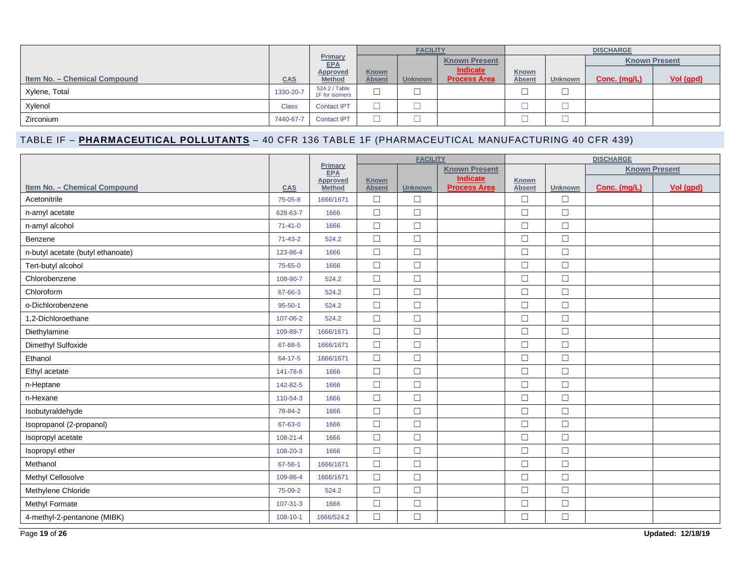|                              | <b>FACILITY</b> |                                  |                               |                |                                 | <b>DISCHARGE</b>       |         |                      |           |
|------------------------------|-----------------|----------------------------------|-------------------------------|----------------|---------------------------------|------------------------|---------|----------------------|-----------|
|                              |                 | Primary<br><b>EPA</b>            |                               |                | <b>Known Present</b>            |                        |         | <b>Known Present</b> |           |
| Item No. - Chemical Compound | <b>CAS</b>      | <b>Approved</b><br><b>Method</b> | <b>Known</b><br><b>Absent</b> | <b>Unknown</b> | Indicate<br><b>Process Area</b> | Known<br><b>Absent</b> | Unknown | Conc. (mg/L)         | Vol (gpd) |
| Xylene, Total                | 1330-20-7       | 524.2 / Table<br>1F for isomers  | –<br>└                        | └              |                                 |                        | └       |                      |           |
| Xylenol                      | <b>Class</b>    | <b>Contact IPT</b>               |                               |                |                                 |                        |         |                      |           |
| Zirconium                    | 7440-67-7       | <b>Contact IPT</b>               |                               |                |                                 |                        |         |                      |           |

## TABLE IF – **PHARMACEUTICAL POLLUTANTS** – 40 CFR 136 TABLE 1F (PHARMACEUTICAL MANUFACTURING 40 CFR 439)

|                                   |                |                           | <b>FACILITY</b>               |                |                                        |                        |                | <b>DISCHARGE</b>     |           |
|-----------------------------------|----------------|---------------------------|-------------------------------|----------------|----------------------------------------|------------------------|----------------|----------------------|-----------|
|                                   |                | Primary<br><b>EPA</b>     |                               |                | <b>Known Present</b>                   |                        |                | <b>Known Present</b> |           |
| Item No. - Chemical Compound      | <b>CAS</b>     | Approved<br><b>Method</b> | <b>Known</b><br><b>Absent</b> | <b>Unknown</b> | <b>Indicate</b><br><b>Process Area</b> | Known<br><b>Absent</b> | <b>Unknown</b> | Conc. (mg/L)         | Vol (gpd) |
| Acetonitrile                      | 75-05-8        | 1666/1671                 | $\Box$                        | $\Box$         |                                        | $\Box$                 | $\Box$         |                      |           |
| n-amyl acetate                    | 628-63-7       | 1666                      | $\Box$                        | $\Box$         |                                        | $\Box$                 | $\Box$         |                      |           |
| n-amyl alcohol                    | $71 - 41 - 0$  | 1666                      | $\Box$                        | $\Box$         |                                        | $\Box$                 | $\Box$         |                      |           |
| Benzene                           | $71 - 43 - 2$  | 524.2                     | $\Box$                        | $\Box$         |                                        | $\Box$                 | $\Box$         |                      |           |
| n-butyl acetate (butyl ethanoate) | 123-86-4       | 1666                      | $\Box$                        | $\Box$         |                                        | $\Box$                 | $\Box$         |                      |           |
| Tert-butyl alcohol                | 75-65-0        | 1666                      | $\Box$                        | $\Box$         |                                        | $\Box$                 | $\Box$         |                      |           |
| Chlorobenzene                     | 108-90-7       | 524.2                     | $\Box$                        | $\Box$         |                                        | $\Box$                 | $\Box$         |                      |           |
| Chloroform                        | 67-66-3        | 524.2                     | $\Box$                        | $\Box$         |                                        | $\Box$                 | $\Box$         |                      |           |
| o-Dichlorobenzene                 | $95 - 50 - 1$  | 524.2                     | $\Box$                        | $\Box$         |                                        | $\Box$                 | $\Box$         |                      |           |
| 1,2-Dichloroethane                | 107-06-2       | 524.2                     | $\Box$                        | $\Box$         |                                        | $\Box$                 | $\Box$         |                      |           |
| Diethylamine                      | 109-89-7       | 1666/1671                 | $\Box$                        | $\Box$         |                                        | $\Box$                 | $\Box$         |                      |           |
| Dimethyl Sulfoxide                | 67-68-5        | 1666/1671                 | $\Box$                        | $\Box$         |                                        | $\Box$                 | $\Box$         |                      |           |
| Ethanol                           | 64-17-5        | 1666/1671                 | $\Box$                        | $\Box$         |                                        | $\Box$                 | $\Box$         |                      |           |
| Ethyl acetate                     | 141-78-6       | 1666                      | $\Box$                        | $\Box$         |                                        | $\Box$                 | $\Box$         |                      |           |
| n-Heptane                         | 142-82-5       | 1666                      | $\Box$                        | $\Box$         |                                        | $\Box$                 | $\Box$         |                      |           |
| n-Hexane                          | 110-54-3       | 1666                      | $\Box$                        | $\Box$         |                                        | $\Box$                 | $\Box$         |                      |           |
| Isobutyraldehyde                  | 78-84-2        | 1666                      | $\Box$                        | $\Box$         |                                        | $\Box$                 | $\Box$         |                      |           |
| Isopropanol (2-propanol)          | 67-63-0        | 1666                      | $\Box$                        | $\Box$         |                                        | $\Box$                 | $\Box$         |                      |           |
| Isopropyl acetate                 | $108 - 21 - 4$ | 1666                      | $\Box$                        | $\Box$         |                                        | $\Box$                 | $\Box$         |                      |           |
| Isopropyl ether                   | 108-20-3       | 1666                      | $\Box$                        | $\Box$         |                                        | $\Box$                 | $\Box$         |                      |           |
| Methanol                          | $67 - 56 - 1$  | 1666/1671                 | $\Box$                        | $\Box$         |                                        | $\Box$                 | $\Box$         |                      |           |
| Methyl Cellosolve                 | 109-86-4       | 1666/1671                 | $\Box$                        | $\Box$         |                                        | $\Box$                 | $\Box$         |                      |           |
| Methylene Chloride                | 75-09-2        | 524.2                     | $\Box$                        | $\Box$         |                                        | $\Box$                 | $\Box$         |                      |           |
| Methyl Formate                    | $107 - 31 - 3$ | 1666                      | $\Box$                        | $\Box$         |                                        | $\Box$                 | $\Box$         |                      |           |
| 4-methyl-2-pentanone (MIBK)       | $108 - 10 - 1$ | 1666/524.2                | $\Box$                        | $\Box$         |                                        | $\Box$                 | $\Box$         |                      |           |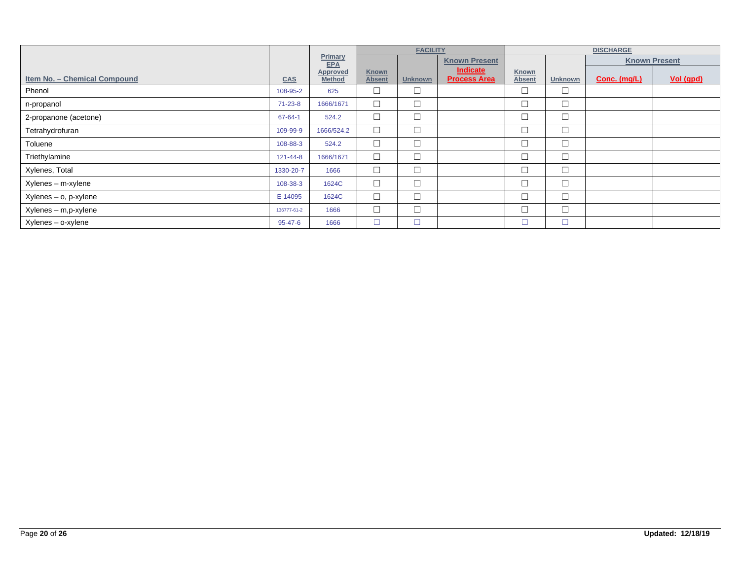|                              |                |                                  | <b>FACILITY</b>               |                |                                 | <b>DISCHARGE</b>              |                |              |                      |
|------------------------------|----------------|----------------------------------|-------------------------------|----------------|---------------------------------|-------------------------------|----------------|--------------|----------------------|
|                              |                | Primary<br><b>EPA</b>            |                               |                | <b>Known Present</b>            |                               |                |              | <b>Known Present</b> |
| Item No. - Chemical Compound | <b>CAS</b>     | <b>Approved</b><br><b>Method</b> | <b>Known</b><br><b>Absent</b> | <b>Unknown</b> | Indicate<br><b>Process Area</b> | <b>Known</b><br><b>Absent</b> | <b>Unknown</b> | Conc. (mg/L) | Vol (gpd)            |
| Phenol                       | 108-95-2       | 625                              | $\Box$                        | $\Box$         |                                 |                               | $\Box$         |              |                      |
| n-propanol                   | $71 - 23 - 8$  | 1666/1671                        | $\Box$                        | $\Box$         |                                 |                               | $\Box$         |              |                      |
| 2-propanone (acetone)        | $67 - 64 - 1$  | 524.2                            | $\Box$                        | $\Box$         |                                 |                               | $\Box$         |              |                      |
| Tetrahydrofuran              | 109-99-9       | 1666/524.2                       | $\Box$                        | $\Box$         |                                 | ▭                             | $\Box$         |              |                      |
| Toluene                      | 108-88-3       | 524.2                            | $\Box$                        | $\Box$         |                                 |                               | $\Box$         |              |                      |
| Triethylamine                | $121 - 44 - 8$ | 1666/1671                        | $\Box$                        | $\Box$         |                                 |                               | $\Box$         |              |                      |
| Xylenes, Total               | 1330-20-7      | 1666                             | $\Box$                        | $\Box$         |                                 |                               | $\Box$         |              |                      |
| Xylenes - m-xylene           | 108-38-3       | 1624C                            | $\Box$                        | $\Box$         |                                 |                               | $\Box$         |              |                      |
| Xylenes - o, p-xylene        | E-14095        | 1624C                            | $\Box$                        | $\Box$         |                                 |                               | $\Box$         |              |                      |
| Xylenes - m,p-xylene         | 136777-61-2    | 1666                             | $\Box$                        | $\Box$         |                                 |                               | $\Box$         |              |                      |
| Xylenes - o-xylene           | $95 - 47 - 6$  | 1666                             | $\Box$                        | $\Box$         |                                 |                               | $\Box$         |              |                      |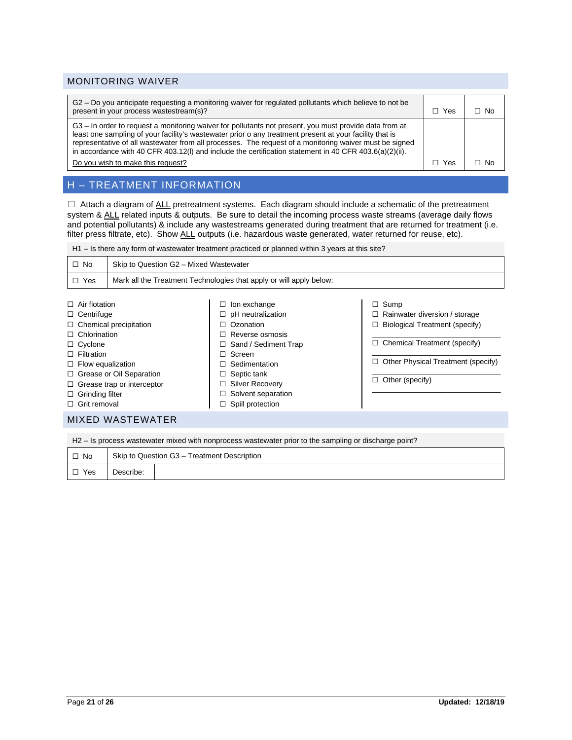#### MONITORING WAIVER

| G2 – Do you anticipate requesting a monitoring waiver for regulated pollutants which believe to not be<br>present in your process wastestream(s)?                                                                                                                                                                                                                                                                                     | l Yes | □ No |
|---------------------------------------------------------------------------------------------------------------------------------------------------------------------------------------------------------------------------------------------------------------------------------------------------------------------------------------------------------------------------------------------------------------------------------------|-------|------|
| G3 – In order to request a monitoring waiver for pollutants not present, you must provide data from at<br>least one sampling of your facility's wastewater prior o any treatment present at your facility that is<br>representative of all wastewater from all processes. The request of a monitoring waiver must be signed<br>in accordance with 40 CFR 403.12(I) and include the certification statement in 40 CFR 403.6(a)(2)(ii). |       |      |
| Do you wish to make this request?                                                                                                                                                                                                                                                                                                                                                                                                     | Yes   | ∩ No |

# H – TREATMENT INFORMATION

 $\Box$  Attach a diagram of ALL pretreatment systems. Each diagram should include a schematic of the pretreatment system & ALL related inputs & outputs. Be sure to detail the incoming process waste streams (average daily flows and potential pollutants) & include any wastestreams generated during treatment that are returned for treatment (i.e. filter press filtrate, etc). Show ALL outputs (i.e. hazardous waste generated, water returned for reuse, etc).

H1 – Is there any form of wastewater treatment practiced or planned within 3 years at this site?

| $\Box$ No  | Skip to Question G2 - Mixed Wastewater                              |
|------------|---------------------------------------------------------------------|
| $\Box$ Yes | Mark all the Treatment Technologies that apply or will apply below: |
|            |                                                                     |

| $\Box$ Air flotation              | $\Box$ lon exchange         | $\Box$ Sump                               |
|-----------------------------------|-----------------------------|-------------------------------------------|
| $\Box$ Centrifuge                 | $\Box$ pH neutralization    | $\Box$ Rainwater diversion / storage      |
| $\Box$ Chemical precipitation     | $\Box$ Ozonation            | $\Box$ Biological Treatment (specify)     |
| $\Box$ Chlorination               | $\Box$ Reverse osmosis      |                                           |
| $\Box$ Cyclone                    | $\Box$ Sand / Sediment Trap | $\Box$ Chemical Treatment (specify)       |
| $\Box$ Filtration                 | $\Box$ Screen               |                                           |
| $\Box$ Flow equalization          | $\Box$ Sedimentation        | $\Box$ Other Physical Treatment (specify) |
| $\Box$ Grease or Oil Separation   | $\Box$ Septic tank          |                                           |
| $\Box$ Grease trap or interceptor | $\Box$ Silver Recovery      | $\Box$ Other (specify)                    |
| $\Box$ Grinding filter            | $\Box$ Solvent separation   |                                           |
| $\Box$ Grit removal               | $\Box$ Spill protection     |                                           |
|                                   |                             |                                           |

#### MIXED WASTEWATER

H2 – Is process wastewater mixed with nonprocess wastewater prior to the sampling or discharge point?

| $\Box$ No  |           | Skip to Question G3 - Treatment Description |
|------------|-----------|---------------------------------------------|
| $\Box$ Yes | Describe: |                                             |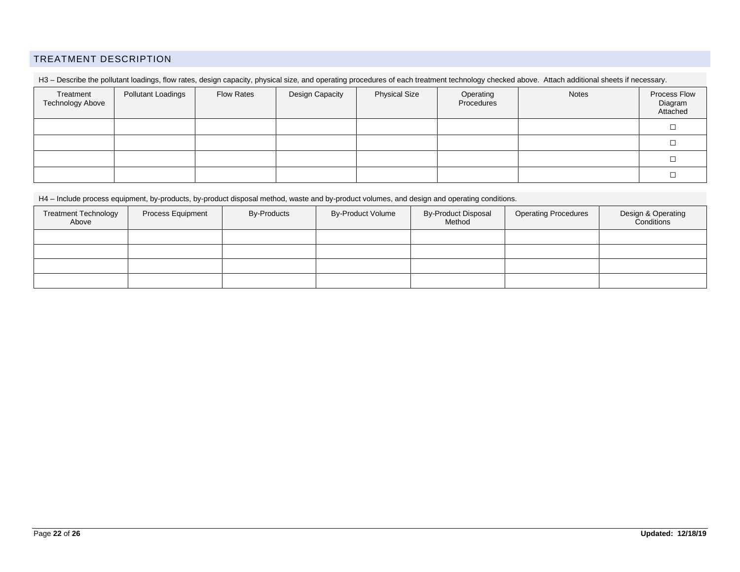### TREATMENT DESCRIPTION

| Treatment<br><b>Technology Above</b> | <b>Pollutant Loadings</b> | <b>Flow Rates</b> | Design Capacity | <b>Physical Size</b> | Operating<br>Procedures | <b>Notes</b> | Process Flow<br>Diagram<br>Attached |
|--------------------------------------|---------------------------|-------------------|-----------------|----------------------|-------------------------|--------------|-------------------------------------|
|                                      |                           |                   |                 |                      |                         |              |                                     |
|                                      |                           |                   |                 |                      |                         |              |                                     |
|                                      |                           |                   |                 |                      |                         |              |                                     |
|                                      |                           |                   |                 |                      |                         |              |                                     |

H3 - Describe the pollutant loadings, flow rates, design capacity, physical size, and operating procedures of each treatment technology checked above. Attach additional sheets if necessary.

H4 – Include process equipment, by-products, by-product disposal method, waste and by-product volumes, and design and operating conditions.

| <b>Treatment Technology</b><br>Above | Process Equipment | <b>By-Products</b> | <b>By-Product Volume</b> | <b>By-Product Disposal</b><br>Method | <b>Operating Procedures</b> | Design & Operating<br>Conditions |
|--------------------------------------|-------------------|--------------------|--------------------------|--------------------------------------|-----------------------------|----------------------------------|
|                                      |                   |                    |                          |                                      |                             |                                  |
|                                      |                   |                    |                          |                                      |                             |                                  |
|                                      |                   |                    |                          |                                      |                             |                                  |
|                                      |                   |                    |                          |                                      |                             |                                  |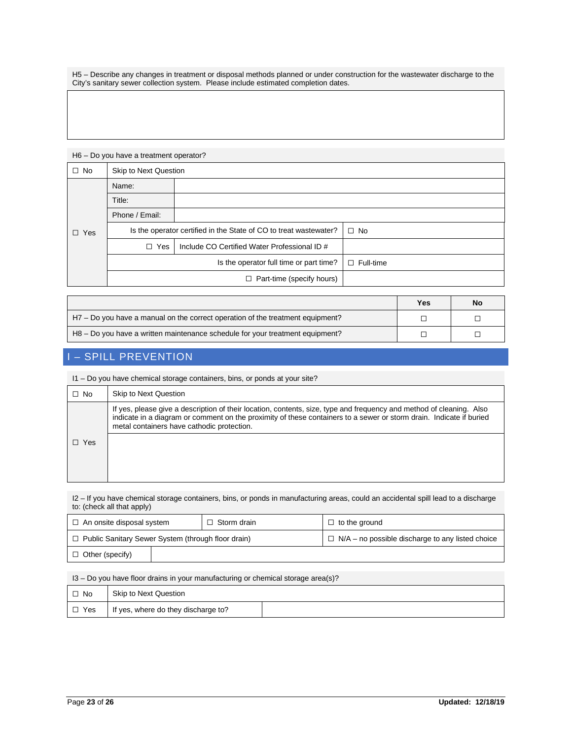H5 – Describe any changes in treatment or disposal methods planned or under construction for the wastewater discharge to the City's sanitary sewer collection system. Please include estimated completion dates.

## H6 – Do you have a treatment operator?

| $\Box$ No  | <b>Skip to Next Question</b>                                      |                                              |                  |  |
|------------|-------------------------------------------------------------------|----------------------------------------------|------------------|--|
|            | Name:                                                             |                                              |                  |  |
|            | Title:                                                            |                                              |                  |  |
| $\Box$ Yes | Phone / Email:                                                    |                                              |                  |  |
|            | Is the operator certified in the State of CO to treat wastewater? |                                              | $\Box$ No        |  |
|            | $\Box$ Yes                                                        | Include CO Certified Water Professional ID # |                  |  |
|            |                                                                   | Is the operator full time or part time?      | $\Box$ Full-time |  |
|            |                                                                   | □ Part-time (specify hours)                  |                  |  |

|                                                                                | Yes | No |
|--------------------------------------------------------------------------------|-----|----|
| H7 – Do you have a manual on the correct operation of the treatment equipment? |     |    |
| H8 – Do you have a written maintenance schedule for your treatment equipment?  |     |    |

# - SPILL PREVENTION

I1 – Do you have chemical storage containers, bins, or ponds at your site?

| $\Box$ No | <b>Skip to Next Question</b>                                                                                                                                                                                                                                                              |
|-----------|-------------------------------------------------------------------------------------------------------------------------------------------------------------------------------------------------------------------------------------------------------------------------------------------|
|           | If yes, please give a description of their location, contents, size, type and frequency and method of cleaning. Also<br>indicate in a diagram or comment on the proximity of these containers to a sewer or storm drain. Indicate if buried<br>metal containers have cathodic protection. |
| Yes       |                                                                                                                                                                                                                                                                                           |
|           |                                                                                                                                                                                                                                                                                           |

I2 – If you have chemical storage containers, bins, or ponds in manufacturing areas, could an accidental spill lead to a discharge to: (check all that apply)

| $\Box$ An onsite disposal system                          | $\Box$ Storm drain | $\Box$ to the ground                                    |  |
|-----------------------------------------------------------|--------------------|---------------------------------------------------------|--|
| $\Box$ Public Sanitary Sewer System (through floor drain) |                    | $\Box$ N/A – no possible discharge to any listed choice |  |
| $\Box$ Other (specify)                                    |                    |                                                         |  |

I3 – Do you have floor drains in your manufacturing or chemical storage area(s)?

| $\Box$ No  | Skip to Next Question               |  |
|------------|-------------------------------------|--|
| $\Box$ Yes | If yes, where do they discharge to? |  |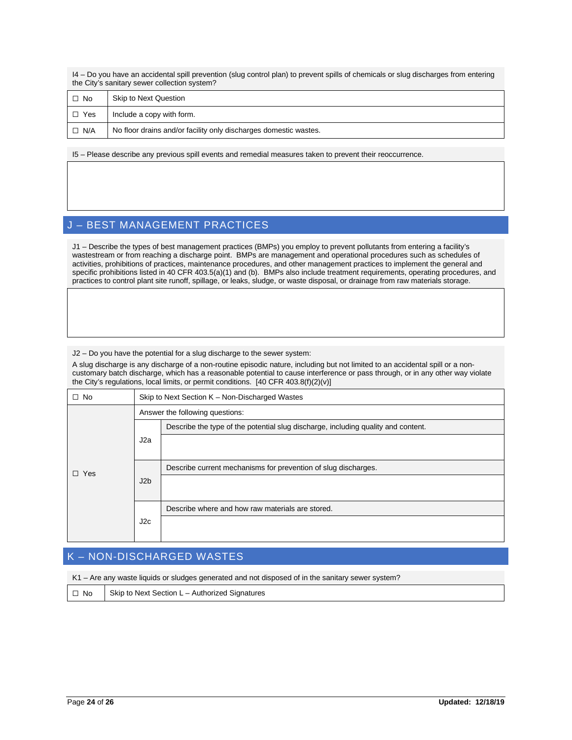I4 – Do you have an accidental spill prevention (slug control plan) to prevent spills of chemicals or slug discharges from entering the City's sanitary sewer collection system?

| $\Box$ No  | Skip to Next Question                                            |
|------------|------------------------------------------------------------------|
| $\Box$ Yes | Include a copy with form.                                        |
| $\Box$ N/A | No floor drains and/or facility only discharges domestic wastes. |

I5 – Please describe any previous spill events and remedial measures taken to prevent their reoccurrence.

### J – BEST MANAGEMENT PRACTICES

J1 – Describe the types of best management practices (BMPs) you employ to prevent pollutants from entering a facility's wastestream or from reaching a discharge point. BMPs are management and operational procedures such as schedules of activities, prohibitions of practices, maintenance procedures, and other management practices to implement the general and specific prohibitions listed in 40 CFR 403.5(a)(1) and (b). BMPs also include treatment requirements, operating procedures, and practices to control plant site runoff, spillage, or leaks, sludge, or waste disposal, or drainage from raw materials storage.

J2 – Do you have the potential for a slug discharge to the sewer system:

A slug discharge is any discharge of a non-routine episodic nature, including but not limited to an accidental spill or a noncustomary batch discharge, which has a reasonable potential to cause interference or pass through, or in any other way violate the City's regulations, local limits, or permit conditions. [40 CFR 403.8(f)(2)(v)]

| $\Box$ No  | Skip to Next Section K - Non-Discharged Wastes |                                                                                   |  |
|------------|------------------------------------------------|-----------------------------------------------------------------------------------|--|
| $\Box$ Yes | Answer the following questions:                |                                                                                   |  |
|            | J2a                                            | Describe the type of the potential slug discharge, including quality and content. |  |
|            |                                                |                                                                                   |  |
|            |                                                |                                                                                   |  |
|            | J2b                                            | Describe current mechanisms for prevention of slug discharges.                    |  |
|            |                                                |                                                                                   |  |
|            |                                                |                                                                                   |  |
|            | J2c                                            | Describe where and how raw materials are stored.                                  |  |
|            |                                                |                                                                                   |  |
|            |                                                |                                                                                   |  |

## K – NON-DISCHARGED WASTES

K1 – Are any waste liquids or sludges generated and not disposed of in the sanitary sewer system?

☐ No Skip to Next Section L – Authorized Signatures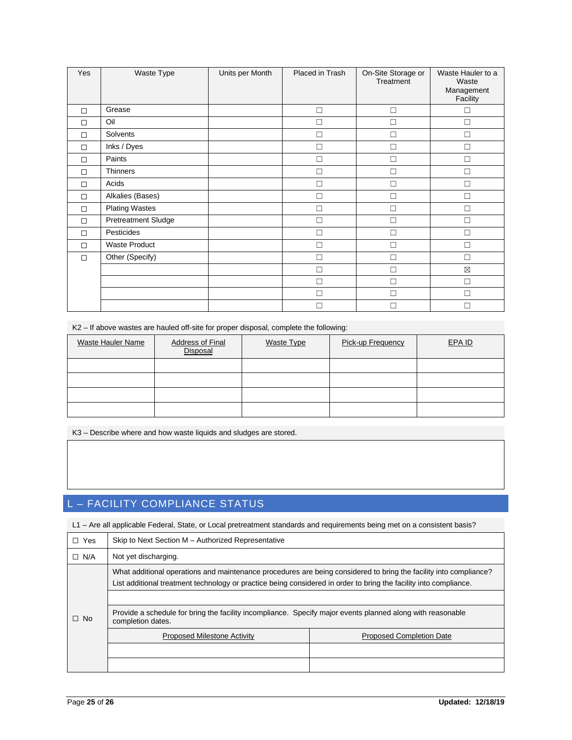| Yes    | Waste Type                 | Units per Month | Placed in Trash | On-Site Storage or<br>Treatment | Waste Hauler to a<br>Waste<br>Management<br>Facility |
|--------|----------------------------|-----------------|-----------------|---------------------------------|------------------------------------------------------|
| $\Box$ | Grease                     |                 | П               | П                               | П                                                    |
| $\Box$ | Oil                        |                 | П               |                                 | П                                                    |
| $\Box$ | Solvents                   |                 | П               |                                 | П                                                    |
| $\Box$ | Inks / Dyes                |                 | П               |                                 | П                                                    |
| $\Box$ | Paints                     |                 | П               | П                               | $\Box$                                               |
| $\Box$ | Thinners                   |                 | П               | $\Box$                          | $\Box$                                               |
| $\Box$ | Acids                      |                 | П               |                                 | $\Box$                                               |
| $\Box$ | Alkalies (Bases)           |                 | П               |                                 | $\Box$                                               |
| □      | <b>Plating Wastes</b>      |                 | П               |                                 | П                                                    |
| $\Box$ | <b>Pretreatment Sludge</b> |                 | П               | П                               | $\Box$                                               |
| $\Box$ | Pesticides                 |                 | П               |                                 | П                                                    |
| $\Box$ | Waste Product              |                 | П               |                                 | $\Box$                                               |
| $\Box$ | Other (Specify)            |                 | П               | П                               | $\Box$                                               |
|        |                            |                 | П               |                                 | $\boxtimes$                                          |
|        |                            |                 | П               |                                 | $\Box$                                               |
|        |                            |                 |                 |                                 | П                                                    |
|        |                            |                 |                 |                                 |                                                      |

K2 – If above wastes are hauled off-site for proper disposal, complete the following:

| Waste Hauler Name | <b>Address of Final</b><br>Disposal | <b>Waste Type</b> | Pick-up Frequency | EPA ID |
|-------------------|-------------------------------------|-------------------|-------------------|--------|
|                   |                                     |                   |                   |        |
|                   |                                     |                   |                   |        |
|                   |                                     |                   |                   |        |
|                   |                                     |                   |                   |        |

K3 – Describe where and how waste liquids and sludges are stored.

# L – FACILITY COMPLIANCE STATUS

L1 – Are all applicable Federal, State, or Local pretreatment standards and requirements being met on a consistent basis?

| Yes<br>П.  | Skip to Next Section M - Authorized Representative                                                                                                                                                                                     |                                 |  |  |
|------------|----------------------------------------------------------------------------------------------------------------------------------------------------------------------------------------------------------------------------------------|---------------------------------|--|--|
| $\Box$ N/A | Not yet discharging.                                                                                                                                                                                                                   |                                 |  |  |
|            | What additional operations and maintenance procedures are being considered to bring the facility into compliance?<br>List additional treatment technology or practice being considered in order to bring the facility into compliance. |                                 |  |  |
|            |                                                                                                                                                                                                                                        |                                 |  |  |
| $\Box$ No  | Provide a schedule for bring the facility incompliance. Specify major events planned along with reasonable<br>completion dates.                                                                                                        |                                 |  |  |
|            | <b>Proposed Milestone Activity</b>                                                                                                                                                                                                     | <b>Proposed Completion Date</b> |  |  |
|            |                                                                                                                                                                                                                                        |                                 |  |  |
|            |                                                                                                                                                                                                                                        |                                 |  |  |